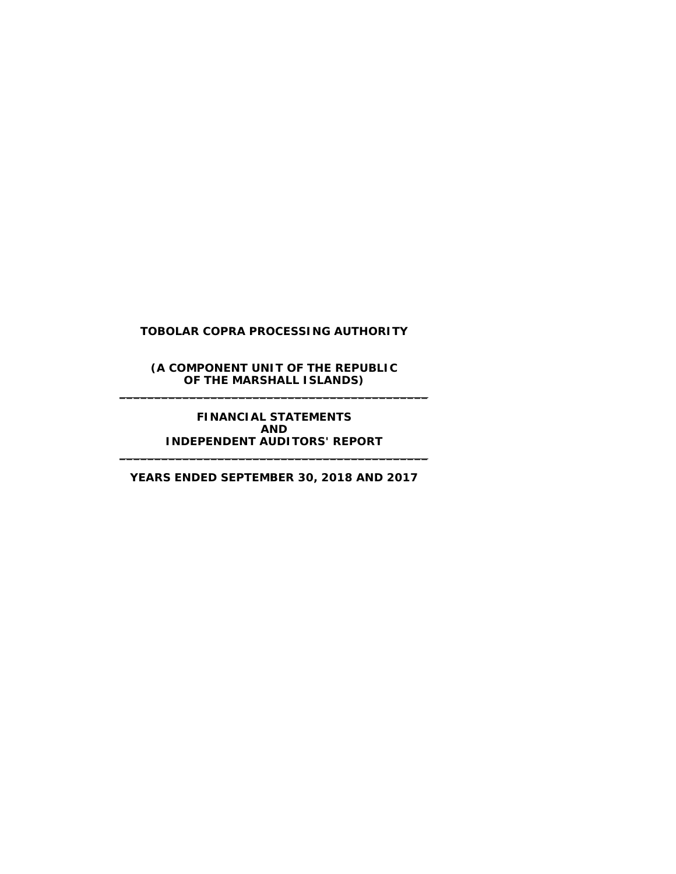**(A COMPONENT UNIT OF THE REPUBLIC OF THE MARSHALL ISLANDS)**  $\frac{1}{2}$  ,  $\frac{1}{2}$  ,  $\frac{1}{2}$  ,  $\frac{1}{2}$  ,  $\frac{1}{2}$  ,  $\frac{1}{2}$  ,  $\frac{1}{2}$  ,  $\frac{1}{2}$  ,  $\frac{1}{2}$  ,  $\frac{1}{2}$  ,  $\frac{1}{2}$  ,  $\frac{1}{2}$  ,  $\frac{1}{2}$  ,  $\frac{1}{2}$  ,  $\frac{1}{2}$  ,  $\frac{1}{2}$  ,  $\frac{1}{2}$  ,  $\frac{1}{2}$  ,  $\frac{1$ 

> **FINANCIAL STATEMENTS AND INDEPENDENT AUDITORS' REPORT**

**YEARS ENDED SEPTEMBER 30, 2018 AND 2017**

 $\frac{1}{2}$  ,  $\frac{1}{2}$  ,  $\frac{1}{2}$  ,  $\frac{1}{2}$  ,  $\frac{1}{2}$  ,  $\frac{1}{2}$  ,  $\frac{1}{2}$  ,  $\frac{1}{2}$  ,  $\frac{1}{2}$  ,  $\frac{1}{2}$  ,  $\frac{1}{2}$  ,  $\frac{1}{2}$  ,  $\frac{1}{2}$  ,  $\frac{1}{2}$  ,  $\frac{1}{2}$  ,  $\frac{1}{2}$  ,  $\frac{1}{2}$  ,  $\frac{1}{2}$  ,  $\frac{1$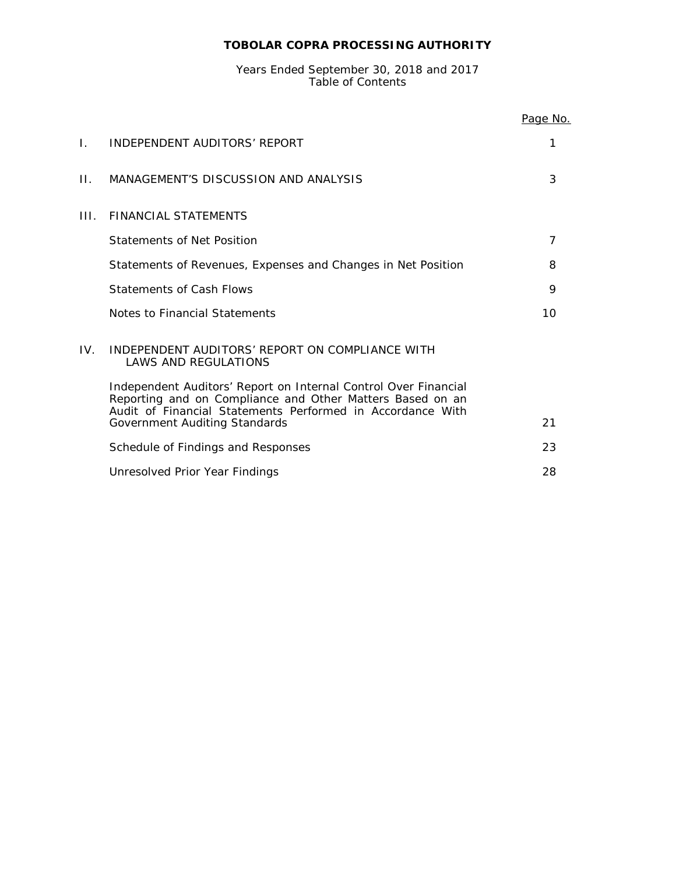# Years Ended September 30, 2018 and 2017 Table of Contents

|          |                                                                                                                                                                                            | Page No. |
|----------|--------------------------------------------------------------------------------------------------------------------------------------------------------------------------------------------|----------|
| L.       | INDEPENDENT AUDITORS' REPORT                                                                                                                                                               | 1        |
| $\Pi$ .  | MANAGEMENT'S DISCUSSION AND ANALYSIS                                                                                                                                                       | 3        |
| III.     | FINANCIAL STATEMENTS                                                                                                                                                                       |          |
|          | Statements of Net Position                                                                                                                                                                 | 7        |
|          | Statements of Revenues, Expenses and Changes in Net Position                                                                                                                               | 8        |
|          | <b>Statements of Cash Flows</b>                                                                                                                                                            | 9        |
|          | Notes to Financial Statements                                                                                                                                                              | 10       |
| $IV_{-}$ | INDEPENDENT AUDITORS' REPORT ON COMPLIANCE WITH<br><b>LAWS AND REGULATIONS</b>                                                                                                             |          |
|          | Independent Auditors' Report on Internal Control Over Financial<br>Reporting and on Compliance and Other Matters Based on an<br>Audit of Financial Statements Performed in Accordance With |          |
|          | Government Auditing Standards                                                                                                                                                              | 21       |
|          | Schedule of Findings and Responses                                                                                                                                                         | 23       |
|          | Unresolved Prior Year Findings                                                                                                                                                             | 28       |
|          |                                                                                                                                                                                            |          |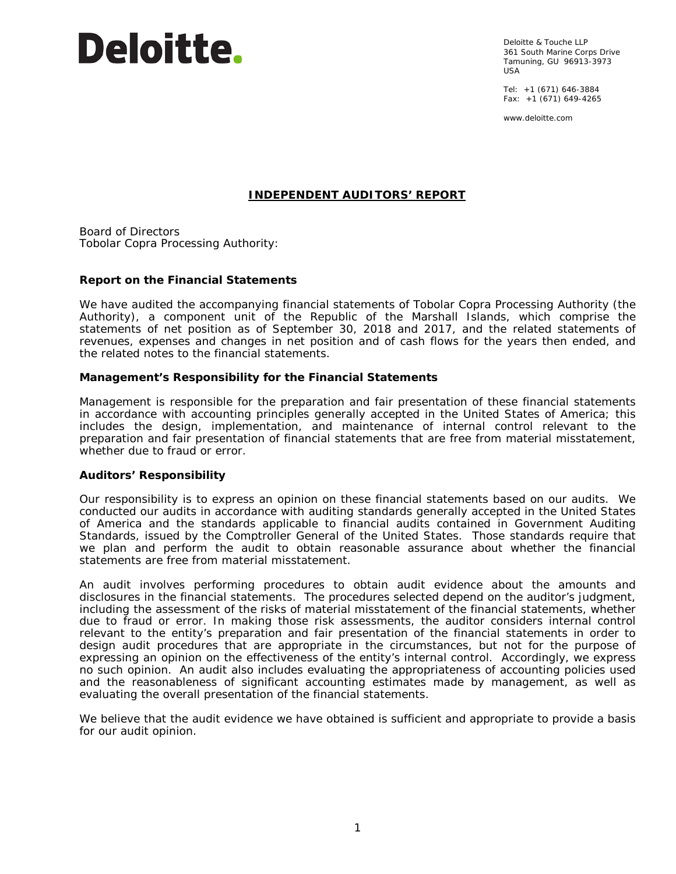# Deloitte.

Deloitte & Touche LLP 361 South Marine Corps Drive Tamuning, GU 96913-3973 USA

Tel: +1 (671) 646-3884 Fax: +1 (671) 649-4265

www.deloitte.com

# **INDEPENDENT AUDITORS' REPORT**

Board of Directors Tobolar Copra Processing Authority:

### **Report on the Financial Statements**

We have audited the accompanying financial statements of Tobolar Copra Processing Authority (the Authority), a component unit of the Republic of the Marshall Islands, which comprise the statements of net position as of September 30, 2018 and 2017, and the related statements of revenues, expenses and changes in net position and of cash flows for the years then ended, and the related notes to the financial statements.

### *Management's Responsibility for the Financial Statements*

Management is responsible for the preparation and fair presentation of these financial statements in accordance with accounting principles generally accepted in the United States of America; this includes the design, implementation, and maintenance of internal control relevant to the preparation and fair presentation of financial statements that are free from material misstatement, whether due to fraud or error.

#### *Auditors' Responsibility*

Our responsibility is to express an opinion on these financial statements based on our audits. We conducted our audits in accordance with auditing standards generally accepted in the United States of America and the standards applicable to financial audits contained in *Government Auditing Standards,* issued by the Comptroller General of the United States. Those standards require that we plan and perform the audit to obtain reasonable assurance about whether the financial statements are free from material misstatement.

An audit involves performing procedures to obtain audit evidence about the amounts and disclosures in the financial statements. The procedures selected depend on the auditor's judgment, including the assessment of the risks of material misstatement of the financial statements, whether due to fraud or error. In making those risk assessments, the auditor considers internal control relevant to the entity's preparation and fair presentation of the financial statements in order to design audit procedures that are appropriate in the circumstances, but not for the purpose of expressing an opinion on the effectiveness of the entity's internal control. Accordingly, we express no such opinion. An audit also includes evaluating the appropriateness of accounting policies used and the reasonableness of significant accounting estimates made by management, as well as evaluating the overall presentation of the financial statements.

We believe that the audit evidence we have obtained is sufficient and appropriate to provide a basis for our audit opinion.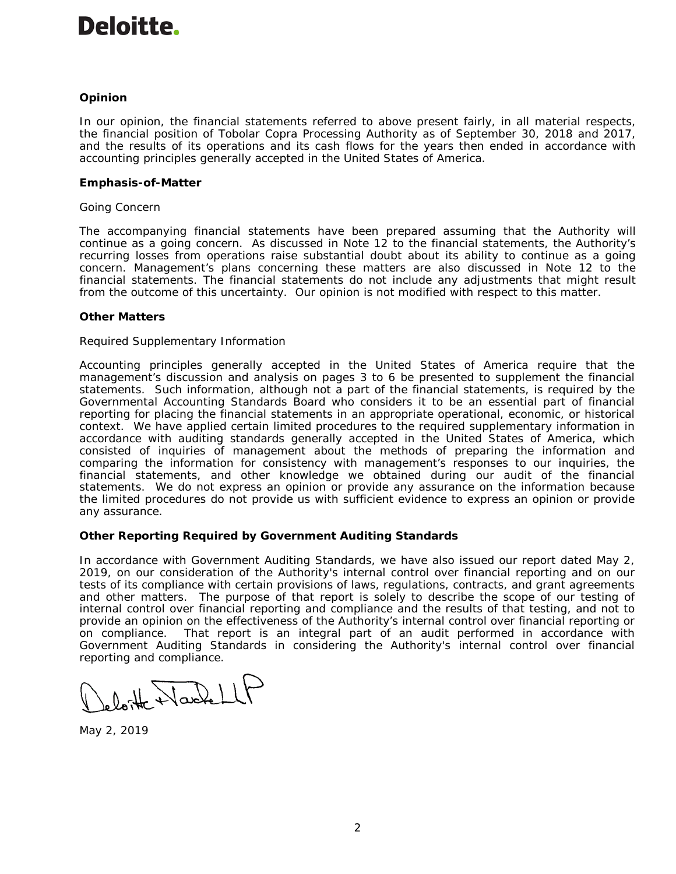# Deloitte.

# *Opinion*

In our opinion, the financial statements referred to above present fairly, in all material respects, the financial position of Tobolar Copra Processing Authority as of September 30, 2018 and 2017, and the results of its operations and its cash flows for the years then ended in accordance with accounting principles generally accepted in the United States of America.

### *Emphasis-of-Matter*

# *Going Concern*

The accompanying financial statements have been prepared assuming that the Authority will continue as a going concern. As discussed in Note 12 to the financial statements, the Authority's recurring losses from operations raise substantial doubt about its ability to continue as a going concern. Management's plans concerning these matters are also discussed in Note 12 to the financial statements. The financial statements do not include any adjustments that might result from the outcome of this uncertainty. Our opinion is not modified with respect to this matter.

# *Other Matters*

### *Required Supplementary Information*

Accounting principles generally accepted in the United States of America require that the management's discussion and analysis on pages 3 to 6 be presented to supplement the financial statements. Such information, although not a part of the financial statements, is required by the Governmental Accounting Standards Board who considers it to be an essential part of financial reporting for placing the financial statements in an appropriate operational, economic, or historical context. We have applied certain limited procedures to the required supplementary information in accordance with auditing standards generally accepted in the United States of America, which consisted of inquiries of management about the methods of preparing the information and comparing the information for consistency with management's responses to our inquiries, the financial statements, and other knowledge we obtained during our audit of the financial statements. We do not express an opinion or provide any assurance on the information because the limited procedures do not provide us with sufficient evidence to express an opinion or provide any assurance.

# **Other Reporting Required by** *Government Auditing Standards*

In accordance with *Government Auditing Standards*, we have also issued our report dated May 2, 2019, on our consideration of the Authority's internal control over financial reporting and on our tests of its compliance with certain provisions of laws, regulations, contracts, and grant agreements and other matters. The purpose of that report is solely to describe the scope of our testing of internal control over financial reporting and compliance and the results of that testing, and not to provide an opinion on the effectiveness of the Authority's internal control over financial reporting or on compliance. That report is an integral part of an audit performed in accordance with *Government Auditing Standards* in considering the Authority's internal control over financial reporting and compliance.

lotte WachellP

May 2, 2019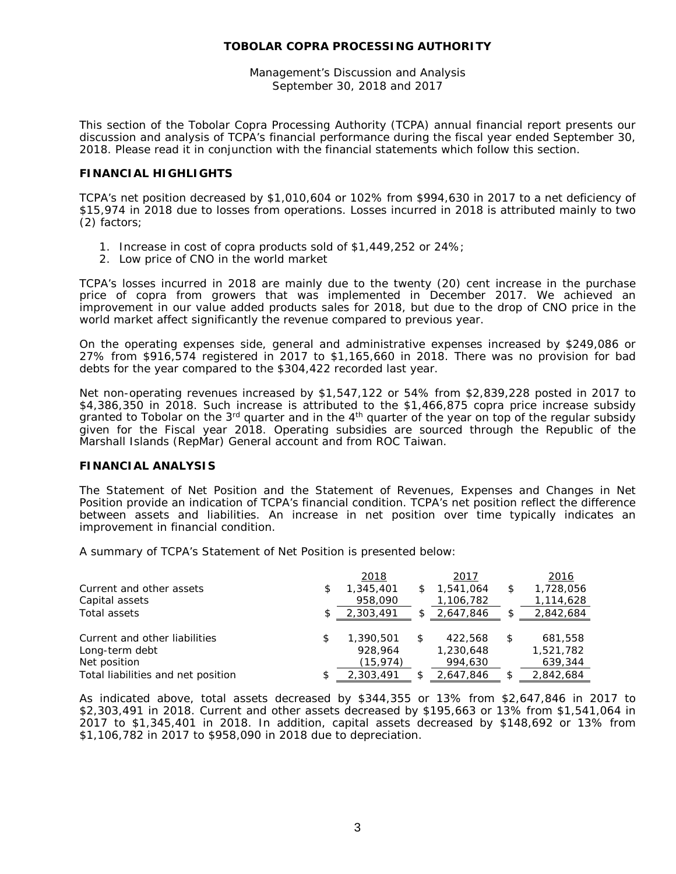Management's Discussion and Analysis September 30, 2018 and 2017

This section of the Tobolar Copra Processing Authority (TCPA) annual financial report presents our discussion and analysis of TCPA's financial performance during the fiscal year ended September 30, 2018. Please read it in conjunction with the financial statements which follow this section.

# **FINANCIAL HIGHLIGHTS**

TCPA's net position decreased by \$1,010,604 or 102% from \$994,630 in 2017 to a net deficiency of \$15,974 in 2018 due to losses from operations. Losses incurred in 2018 is attributed mainly to two (2) factors;

- 1. Increase in cost of copra products sold of \$1,449,252 or 24%;
- 2. Low price of CNO in the world market

TCPA's losses incurred in 2018 are mainly due to the twenty (20) cent increase in the purchase price of copra from growers that was implemented in December 2017. We achieved an improvement in our value added products sales for 2018, but due to the drop of CNO price in the world market affect significantly the revenue compared to previous year.

On the operating expenses side, general and administrative expenses increased by \$249,086 or 27% from \$916,574 registered in 2017 to \$1,165,660 in 2018. There was no provision for bad debts for the year compared to the \$304,422 recorded last year.

Net non-operating revenues increased by \$1,547,122 or 54% from \$2,839,228 posted in 2017 to \$4,386,350 in 2018. Such increase is attributed to the \$1,466,875 copra price increase subsidy granted to Tobolar on the  $3<sup>rd</sup>$  quarter and in the  $4<sup>th</sup>$  quarter of the year on top of the regular subsidy given for the Fiscal year 2018. Operating subsidies are sourced through the Republic of the Marshall Islands (RepMar) General account and from ROC Taiwan.

#### **FINANCIAL ANALYSIS**

The Statement of Net Position and the Statement of Revenues, Expenses and Changes in Net Position provide an indication of TCPA's financial condition. TCPA's net position reflect the difference between assets and liabilities. An increase in net position over time typically indicates an improvement in financial condition.

A summary of TCPA's Statement of Net Position is presented below:

|                                    |     | 2018      |     | 2017      | 2016            |
|------------------------------------|-----|-----------|-----|-----------|-----------------|
| Current and other assets           | \$  | 1,345,401 | \$  | 1,541,064 | \$<br>1,728,056 |
| Capital assets                     |     | 958,090   |     | 1,106,782 | 1,114,628       |
| Total assets                       | \$. | 2,303,491 | \$  | 2,647,846 | 2,842,684       |
|                                    |     |           |     |           |                 |
| Current and other liabilities      | \$  | 1,390,501 | \$  | 422,568   | \$<br>681,558   |
| Long-term debt                     |     | 928.964   |     | 1,230,648 | 1,521,782       |
| Net position                       |     | (15,974)  |     | 994,630   | 639,344         |
| Total liabilities and net position | S   | 2,303,491 | \$. | 2,647,846 | 2,842,684       |

As indicated above, total assets decreased by \$344,355 or 13% from \$2,647,846 in 2017 to \$2,303,491 in 2018. Current and other assets decreased by \$195,663 or 13% from \$1,541,064 in 2017 to \$1,345,401 in 2018. In addition, capital assets decreased by \$148,692 or 13% from \$1,106,782 in 2017 to \$958,090 in 2018 due to depreciation.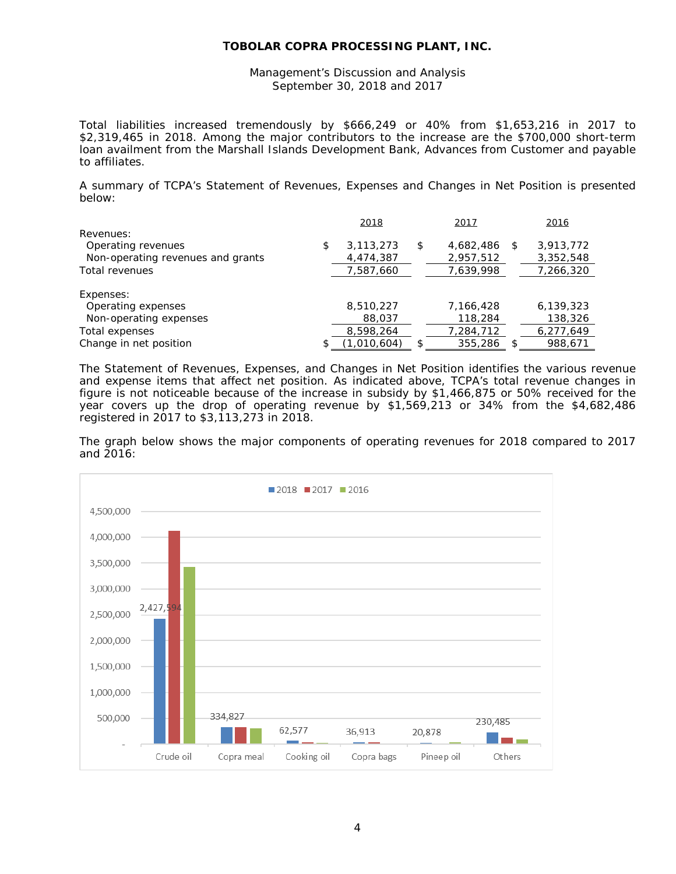# **TOBOLAR COPRA PROCESSING PLANT, INC.**

Management's Discussion and Analysis September 30, 2018 and 2017

Total liabilities increased tremendously by \$666,249 or 40% from \$1,653,216 in 2017 to \$2,319,465 in 2018. Among the major contributors to the increase are the \$700,000 short-term loan availment from the Marshall Islands Development Bank, Advances from Customer and payable to affiliates.

A summary of TCPA's Statement of Revenues, Expenses and Changes in Net Position is presented below:

|                                   | 2018            | 2017            |   | 2016      |
|-----------------------------------|-----------------|-----------------|---|-----------|
| Revenues:                         |                 |                 |   |           |
| Operating revenues                | \$<br>3,113,273 | \$<br>4,682,486 | S | 3,913,772 |
| Non-operating revenues and grants | 4,474,387       | 2,957,512       |   | 3,352,548 |
| Total revenues                    | 7,587,660       | 7,639,998       |   | 7,266,320 |
| Expenses:                         |                 |                 |   |           |
| Operating expenses                | 8,510,227       | 7,166,428       |   | 6,139,323 |
| Non-operating expenses            | 88,037          | 118,284         |   | 138,326   |
| Total expenses                    | 8,598,264       | 7,284,712       |   | 6,277,649 |
| Change in net position            | (1,010,604)     | 355,286         |   | 988,671   |

The Statement of Revenues, Expenses, and Changes in Net Position identifies the various revenue and expense items that affect net position. As indicated above, TCPA's total revenue changes in figure is not noticeable because of the increase in subsidy by \$1,466,875 or 50% received for the year covers up the drop of operating revenue by \$1,569,213 or 34% from the \$4,682,486 registered in 2017 to \$3,113,273 in 2018.

The graph below shows the major components of operating revenues for 2018 compared to 2017 and 2016:

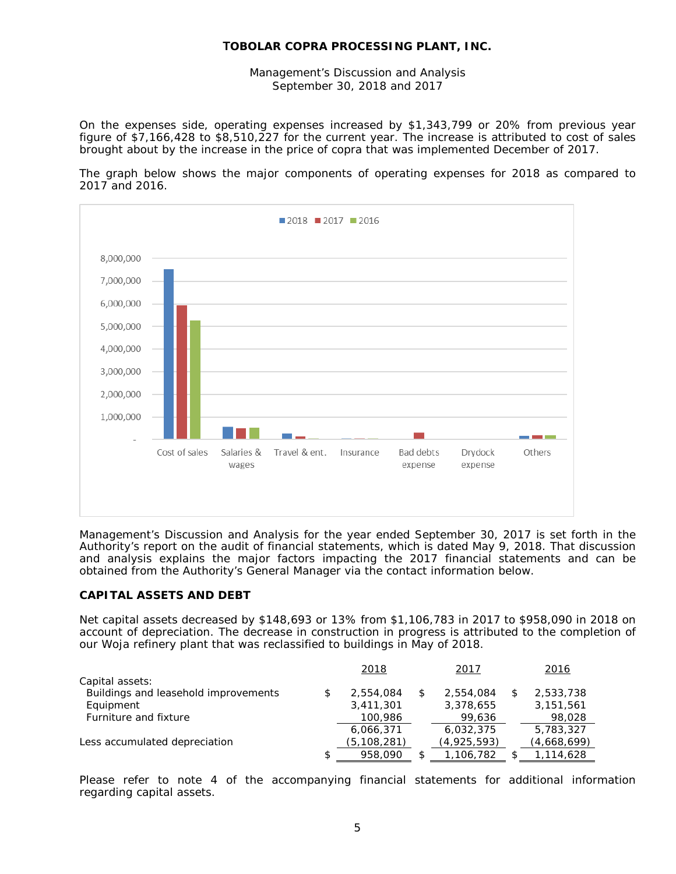# **TOBOLAR COPRA PROCESSING PLANT, INC.**

Management's Discussion and Analysis September 30, 2018 and 2017

On the expenses side, operating expenses increased by \$1,343,799 or 20% from previous year figure of \$7,166,428 to \$8,510,227 for the current year. The increase is attributed to cost of sales brought about by the increase in the price of copra that was implemented December of 2017.

The graph below shows the major components of operating expenses for 2018 as compared to 2017 and 2016.



Management's Discussion and Analysis for the year ended September 30, 2017 is set forth in the Authority's report on the audit of financial statements, which is dated May 9, 2018. That discussion and analysis explains the major factors impacting the 2017 financial statements and can be obtained from the Authority's General Manager via the contact information below.

### **CAPITAL ASSETS AND DEBT**

Net capital assets decreased by \$148,693 or 13% from \$1,106,783 in 2017 to \$958,090 in 2018 on account of depreciation. The decrease in construction in progress is attributed to the completion of our Woja refinery plant that was reclassified to buildings in May of 2018.

| 2017        | 2016        |
|-------------|-------------|
|             |             |
| 2,554,084   | 2,533,738   |
| 3,378,655   | 3,151,561   |
| 99,636      | 98,028      |
| 6.032.375   | 5,783,327   |
| (4,925,593) | (4,668,699) |
| 1,106,782   | 1,114,628   |
|             |             |

Please refer to note 4 of the accompanying financial statements for additional information regarding capital assets.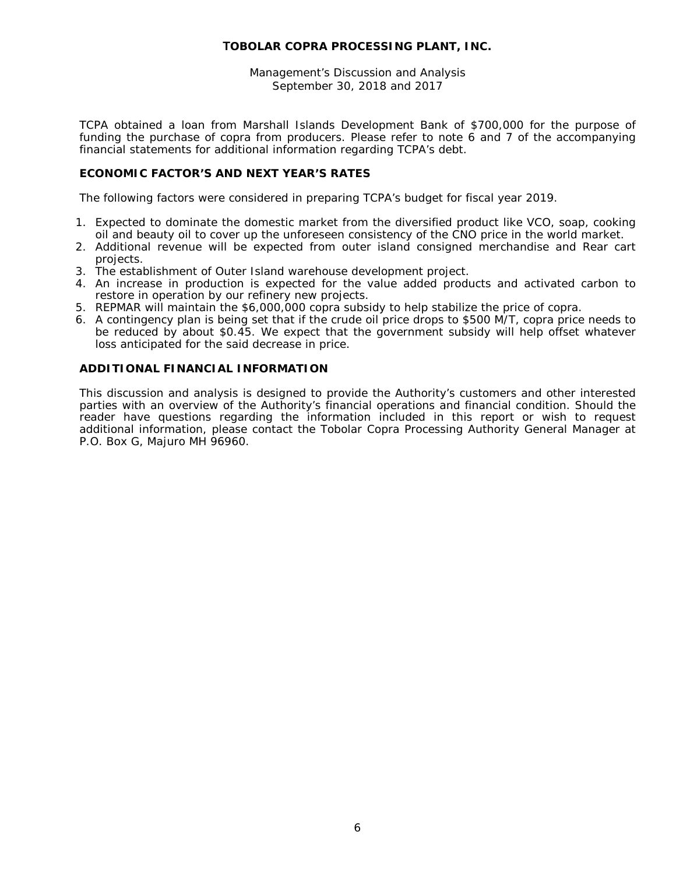# **TOBOLAR COPRA PROCESSING PLANT, INC.**

Management's Discussion and Analysis September 30, 2018 and 2017

TCPA obtained a loan from Marshall Islands Development Bank of \$700,000 for the purpose of funding the purchase of copra from producers. Please refer to note 6 and 7 of the accompanying financial statements for additional information regarding TCPA's debt.

# **ECONOMIC FACTOR'S AND NEXT YEAR'S RATES**

The following factors were considered in preparing TCPA's budget for fiscal year 2019.

- 1. Expected to dominate the domestic market from the diversified product like VCO, soap, cooking oil and beauty oil to cover up the unforeseen consistency of the CNO price in the world market.
- 2. Additional revenue will be expected from outer island consigned merchandise and Rear cart projects.
- 3. The establishment of Outer Island warehouse development project.
- 4. An increase in production is expected for the value added products and activated carbon to restore in operation by our refinery new projects.
- 5. REPMAR will maintain the \$6,000,000 copra subsidy to help stabilize the price of copra.
- 6. A contingency plan is being set that if the crude oil price drops to \$500 M/T, copra price needs to be reduced by about \$0.45. We expect that the government subsidy will help offset whatever loss anticipated for the said decrease in price.

### **ADDITIONAL FINANCIAL INFORMATION**

This discussion and analysis is designed to provide the Authority's customers and other interested parties with an overview of the Authority's financial operations and financial condition. Should the reader have questions regarding the information included in this report or wish to request additional information, please contact the Tobolar Copra Processing Authority General Manager at P.O. Box G, Majuro MH 96960.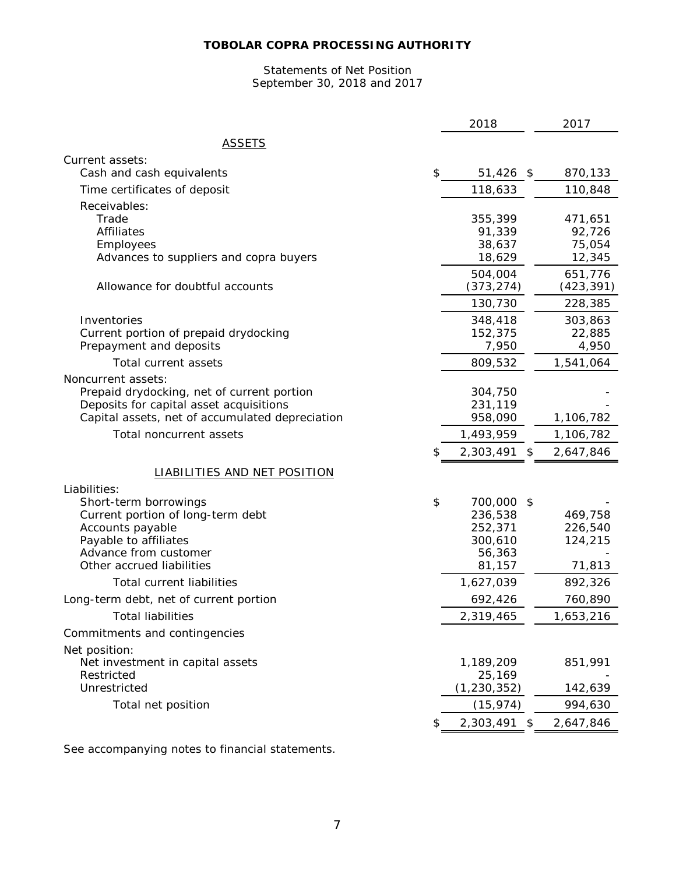#### Statements of Net Position September 30, 2018 and 2017

|                                                     | 2018                  | 2017                  |
|-----------------------------------------------------|-----------------------|-----------------------|
| <u>ASSETS</u>                                       |                       |                       |
| Current assets:                                     |                       |                       |
| Cash and cash equivalents                           | \$<br>$51,426$ \$     | 870,133               |
| Time certificates of deposit                        | 118,633               | 110,848               |
| Receivables:                                        |                       |                       |
| Trade                                               | 355,399               | 471,651               |
| Affiliates                                          | 91,339<br>38,637      | 92,726<br>75,054      |
| Employees<br>Advances to suppliers and copra buyers | 18,629                | 12,345                |
|                                                     | 504,004               |                       |
| Allowance for doubtful accounts                     | (373, 274)            | 651,776<br>(423, 391) |
|                                                     | 130,730               | 228,385               |
| Inventories                                         | 348,418               | 303,863               |
| Current portion of prepaid drydocking               | 152,375               | 22,885                |
| Prepayment and deposits                             | 7,950                 | 4,950                 |
| Total current assets                                | 809,532               | 1,541,064             |
| Noncurrent assets:                                  |                       |                       |
| Prepaid drydocking, net of current portion          | 304,750               |                       |
| Deposits for capital asset acquisitions             | 231,119               |                       |
| Capital assets, net of accumulated depreciation     | 958,090               | 1,106,782             |
| Total noncurrent assets                             | 1,493,959             | 1,106,782             |
|                                                     | \$<br>2,303,491<br>S. | 2,647,846             |
| <b>LIABILITIES AND NET POSITION</b>                 |                       |                       |
| Liabilities:                                        |                       |                       |
| Short-term borrowings                               | \$<br>700,000 \$      |                       |
| Current portion of long-term debt                   | 236,538               | 469,758               |
| Accounts payable                                    | 252,371               | 226,540               |
| Payable to affiliates<br>Advance from customer      | 300,610               | 124,215               |
| Other accrued liabilities                           | 56,363<br>81,157      | 71,813                |
| <b>Total current liabilities</b>                    | 1,627,039             | 892,326               |
| Long-term debt, net of current portion              | 692,426               | 760,890               |
| <b>Total liabilities</b>                            | 2,319,465             | 1,653,216             |
| Commitments and contingencies                       |                       |                       |
| Net position:                                       |                       |                       |
| Net investment in capital assets                    | 1,189,209             | 851,991               |
| Restricted                                          | 25,169                |                       |
| Unrestricted                                        | (1, 230, 352)         | 142,639               |
| Total net position                                  | (15, 974)             | 994,630               |
|                                                     | \$<br>2,303,491 \$    | 2,647,846             |

See accompanying notes to financial statements.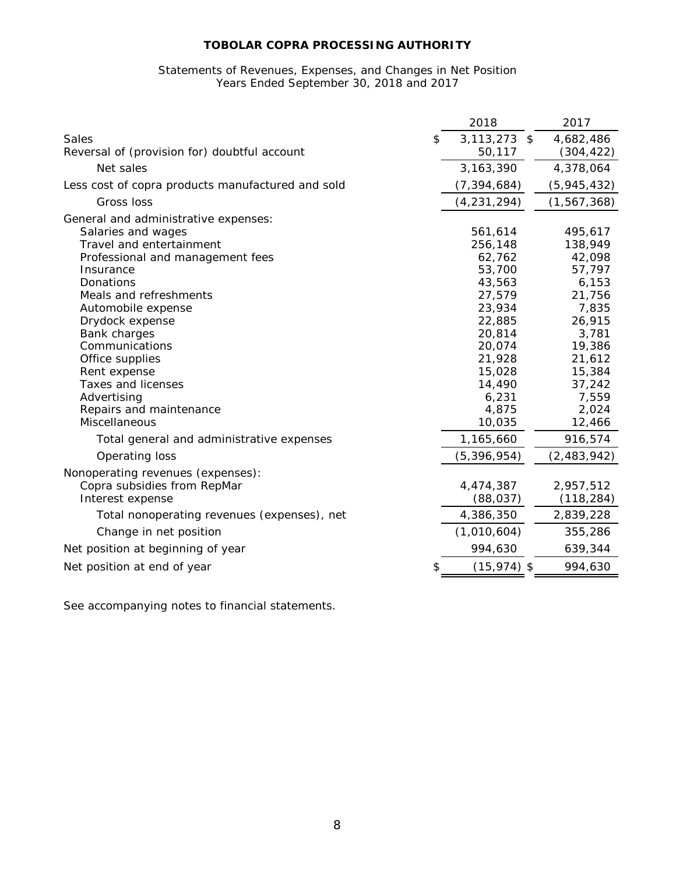#### Statements of Revenues, Expenses, and Changes in Net Position Years Ended September 30, 2018 and 2017

| \$<br>$3,113,273$ \$<br>4,682,486<br>Sales<br>50,117<br>Reversal of (provision for) doubtful account<br>(304, 422)<br>3,163,390<br>Net sales<br>4,378,064<br>Less cost of copra products manufactured and sold<br>(7, 394, 684)<br>(5, 945, 432)<br>(4, 231, 294)<br>(1, 567, 368)<br>Gross loss<br>General and administrative expenses:<br>Salaries and wages<br>561,614<br>495,617<br>Travel and entertainment<br>138,949<br>256,148<br>42,098<br>Professional and management fees<br>62,762<br>53,700<br>57,797<br>Insurance<br>43,563<br>6,153<br>Donations<br>27,579<br>21,756<br>Meals and refreshments<br>23,934<br>7,835<br>Automobile expense<br>22,885<br>26,915<br>Drydock expense<br>Bank charges<br>20,814<br>3,781<br>Communications<br>20,074<br>19,386<br>21,928<br>21,612<br>Office supplies<br>15,028<br>Rent expense<br>15,384<br><b>Taxes and licenses</b><br>14,490<br>37,242<br>Advertising<br>6,231<br>7,559<br>Repairs and maintenance<br>4,875<br>2,024<br><b>Miscellaneous</b><br>10,035<br>12,466<br>1,165,660<br>916,574<br>Total general and administrative expenses<br>Operating loss<br>(5, 396, 954)<br>(2,483,942)<br>Nonoperating revenues (expenses):<br>Copra subsidies from RepMar<br>4,474,387<br>2,957,512<br>Interest expense<br>(88, 037)<br>(118, 284)<br>4,386,350<br>2,839,228<br>Total nonoperating revenues (expenses), net<br>Change in net position<br>(1,010,604)<br>355,286<br>Net position at beginning of year<br>994,630<br>639,344<br>\$<br>994,630<br>Net position at end of year<br>$(15, 974)$ \$ | 2018 | 2017 |
|------------------------------------------------------------------------------------------------------------------------------------------------------------------------------------------------------------------------------------------------------------------------------------------------------------------------------------------------------------------------------------------------------------------------------------------------------------------------------------------------------------------------------------------------------------------------------------------------------------------------------------------------------------------------------------------------------------------------------------------------------------------------------------------------------------------------------------------------------------------------------------------------------------------------------------------------------------------------------------------------------------------------------------------------------------------------------------------------------------------------------------------------------------------------------------------------------------------------------------------------------------------------------------------------------------------------------------------------------------------------------------------------------------------------------------------------------------------------------------------------------------------------------------------------------------|------|------|
|                                                                                                                                                                                                                                                                                                                                                                                                                                                                                                                                                                                                                                                                                                                                                                                                                                                                                                                                                                                                                                                                                                                                                                                                                                                                                                                                                                                                                                                                                                                                                            |      |      |
|                                                                                                                                                                                                                                                                                                                                                                                                                                                                                                                                                                                                                                                                                                                                                                                                                                                                                                                                                                                                                                                                                                                                                                                                                                                                                                                                                                                                                                                                                                                                                            |      |      |
|                                                                                                                                                                                                                                                                                                                                                                                                                                                                                                                                                                                                                                                                                                                                                                                                                                                                                                                                                                                                                                                                                                                                                                                                                                                                                                                                                                                                                                                                                                                                                            |      |      |
|                                                                                                                                                                                                                                                                                                                                                                                                                                                                                                                                                                                                                                                                                                                                                                                                                                                                                                                                                                                                                                                                                                                                                                                                                                                                                                                                                                                                                                                                                                                                                            |      |      |
|                                                                                                                                                                                                                                                                                                                                                                                                                                                                                                                                                                                                                                                                                                                                                                                                                                                                                                                                                                                                                                                                                                                                                                                                                                                                                                                                                                                                                                                                                                                                                            |      |      |
|                                                                                                                                                                                                                                                                                                                                                                                                                                                                                                                                                                                                                                                                                                                                                                                                                                                                                                                                                                                                                                                                                                                                                                                                                                                                                                                                                                                                                                                                                                                                                            |      |      |
|                                                                                                                                                                                                                                                                                                                                                                                                                                                                                                                                                                                                                                                                                                                                                                                                                                                                                                                                                                                                                                                                                                                                                                                                                                                                                                                                                                                                                                                                                                                                                            |      |      |
|                                                                                                                                                                                                                                                                                                                                                                                                                                                                                                                                                                                                                                                                                                                                                                                                                                                                                                                                                                                                                                                                                                                                                                                                                                                                                                                                                                                                                                                                                                                                                            |      |      |
|                                                                                                                                                                                                                                                                                                                                                                                                                                                                                                                                                                                                                                                                                                                                                                                                                                                                                                                                                                                                                                                                                                                                                                                                                                                                                                                                                                                                                                                                                                                                                            |      |      |
|                                                                                                                                                                                                                                                                                                                                                                                                                                                                                                                                                                                                                                                                                                                                                                                                                                                                                                                                                                                                                                                                                                                                                                                                                                                                                                                                                                                                                                                                                                                                                            |      |      |
|                                                                                                                                                                                                                                                                                                                                                                                                                                                                                                                                                                                                                                                                                                                                                                                                                                                                                                                                                                                                                                                                                                                                                                                                                                                                                                                                                                                                                                                                                                                                                            |      |      |
|                                                                                                                                                                                                                                                                                                                                                                                                                                                                                                                                                                                                                                                                                                                                                                                                                                                                                                                                                                                                                                                                                                                                                                                                                                                                                                                                                                                                                                                                                                                                                            |      |      |
|                                                                                                                                                                                                                                                                                                                                                                                                                                                                                                                                                                                                                                                                                                                                                                                                                                                                                                                                                                                                                                                                                                                                                                                                                                                                                                                                                                                                                                                                                                                                                            |      |      |
|                                                                                                                                                                                                                                                                                                                                                                                                                                                                                                                                                                                                                                                                                                                                                                                                                                                                                                                                                                                                                                                                                                                                                                                                                                                                                                                                                                                                                                                                                                                                                            |      |      |
|                                                                                                                                                                                                                                                                                                                                                                                                                                                                                                                                                                                                                                                                                                                                                                                                                                                                                                                                                                                                                                                                                                                                                                                                                                                                                                                                                                                                                                                                                                                                                            |      |      |
|                                                                                                                                                                                                                                                                                                                                                                                                                                                                                                                                                                                                                                                                                                                                                                                                                                                                                                                                                                                                                                                                                                                                                                                                                                                                                                                                                                                                                                                                                                                                                            |      |      |
|                                                                                                                                                                                                                                                                                                                                                                                                                                                                                                                                                                                                                                                                                                                                                                                                                                                                                                                                                                                                                                                                                                                                                                                                                                                                                                                                                                                                                                                                                                                                                            |      |      |
|                                                                                                                                                                                                                                                                                                                                                                                                                                                                                                                                                                                                                                                                                                                                                                                                                                                                                                                                                                                                                                                                                                                                                                                                                                                                                                                                                                                                                                                                                                                                                            |      |      |
|                                                                                                                                                                                                                                                                                                                                                                                                                                                                                                                                                                                                                                                                                                                                                                                                                                                                                                                                                                                                                                                                                                                                                                                                                                                                                                                                                                                                                                                                                                                                                            |      |      |
|                                                                                                                                                                                                                                                                                                                                                                                                                                                                                                                                                                                                                                                                                                                                                                                                                                                                                                                                                                                                                                                                                                                                                                                                                                                                                                                                                                                                                                                                                                                                                            |      |      |
|                                                                                                                                                                                                                                                                                                                                                                                                                                                                                                                                                                                                                                                                                                                                                                                                                                                                                                                                                                                                                                                                                                                                                                                                                                                                                                                                                                                                                                                                                                                                                            |      |      |
|                                                                                                                                                                                                                                                                                                                                                                                                                                                                                                                                                                                                                                                                                                                                                                                                                                                                                                                                                                                                                                                                                                                                                                                                                                                                                                                                                                                                                                                                                                                                                            |      |      |
|                                                                                                                                                                                                                                                                                                                                                                                                                                                                                                                                                                                                                                                                                                                                                                                                                                                                                                                                                                                                                                                                                                                                                                                                                                                                                                                                                                                                                                                                                                                                                            |      |      |
|                                                                                                                                                                                                                                                                                                                                                                                                                                                                                                                                                                                                                                                                                                                                                                                                                                                                                                                                                                                                                                                                                                                                                                                                                                                                                                                                                                                                                                                                                                                                                            |      |      |
|                                                                                                                                                                                                                                                                                                                                                                                                                                                                                                                                                                                                                                                                                                                                                                                                                                                                                                                                                                                                                                                                                                                                                                                                                                                                                                                                                                                                                                                                                                                                                            |      |      |
|                                                                                                                                                                                                                                                                                                                                                                                                                                                                                                                                                                                                                                                                                                                                                                                                                                                                                                                                                                                                                                                                                                                                                                                                                                                                                                                                                                                                                                                                                                                                                            |      |      |
|                                                                                                                                                                                                                                                                                                                                                                                                                                                                                                                                                                                                                                                                                                                                                                                                                                                                                                                                                                                                                                                                                                                                                                                                                                                                                                                                                                                                                                                                                                                                                            |      |      |
|                                                                                                                                                                                                                                                                                                                                                                                                                                                                                                                                                                                                                                                                                                                                                                                                                                                                                                                                                                                                                                                                                                                                                                                                                                                                                                                                                                                                                                                                                                                                                            |      |      |
|                                                                                                                                                                                                                                                                                                                                                                                                                                                                                                                                                                                                                                                                                                                                                                                                                                                                                                                                                                                                                                                                                                                                                                                                                                                                                                                                                                                                                                                                                                                                                            |      |      |
|                                                                                                                                                                                                                                                                                                                                                                                                                                                                                                                                                                                                                                                                                                                                                                                                                                                                                                                                                                                                                                                                                                                                                                                                                                                                                                                                                                                                                                                                                                                                                            |      |      |
|                                                                                                                                                                                                                                                                                                                                                                                                                                                                                                                                                                                                                                                                                                                                                                                                                                                                                                                                                                                                                                                                                                                                                                                                                                                                                                                                                                                                                                                                                                                                                            |      |      |

See accompanying notes to financial statements.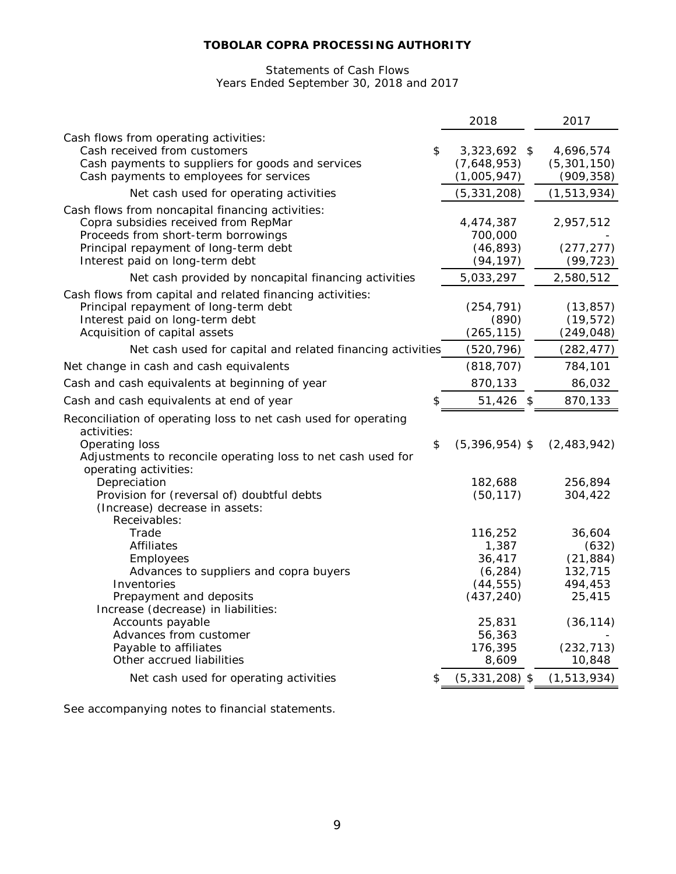# Statements of Cash Flows Years Ended September 30, 2018 and 2017

|                                                                                                                                                                                                             | 2018                                                              | 2017                                                         |
|-------------------------------------------------------------------------------------------------------------------------------------------------------------------------------------------------------------|-------------------------------------------------------------------|--------------------------------------------------------------|
| Cash flows from operating activities:<br>Cash received from customers<br>\$<br>Cash payments to suppliers for goods and services<br>Cash payments to employees for services                                 | 3,323,692 \$<br>(7,648,953)<br>(1,005,947)                        | 4,696,574<br>(5, 301, 150)<br>(909, 358)                     |
| Net cash used for operating activities                                                                                                                                                                      | (5, 331, 208)                                                     | (1, 513, 934)                                                |
| Cash flows from noncapital financing activities:<br>Copra subsidies received from RepMar<br>Proceeds from short-term borrowings<br>Principal repayment of long-term debt<br>Interest paid on long-term debt | 4,474,387<br>700,000<br>(46, 893)<br>(94, 197)                    | 2,957,512<br>(277, 277)<br>(99, 723)                         |
| Net cash provided by noncapital financing activities                                                                                                                                                        | 5,033,297                                                         | 2,580,512                                                    |
| Cash flows from capital and related financing activities:<br>Principal repayment of long-term debt<br>Interest paid on long-term debt<br>Acquisition of capital assets                                      | (254, 791)<br>(890)<br>(265, 115)                                 | (13, 857)<br>(19, 572)<br>(249, 048)                         |
| Net cash used for capital and related financing activities                                                                                                                                                  | (520, 796)                                                        | (282, 477)                                                   |
| Net change in cash and cash equivalents                                                                                                                                                                     | (818, 707)                                                        | 784,101                                                      |
| Cash and cash equivalents at beginning of year                                                                                                                                                              | 870,133                                                           | 86,032                                                       |
| \$<br>Cash and cash equivalents at end of year                                                                                                                                                              | 51,426 \$                                                         | 870,133                                                      |
| Reconciliation of operating loss to net cash used for operating<br>activities:<br>\$<br>Operating loss<br>Adjustments to reconcile operating loss to net cash used for                                      | $(5,396,954)$ \$                                                  | (2,483,942)                                                  |
| operating activities:<br>Depreciation<br>Provision for (reversal of) doubtful debts<br>(Increase) decrease in assets:<br>Receivables:                                                                       | 182,688<br>(50, 117)                                              | 256,894<br>304,422                                           |
| Trade<br>Affiliates<br>Employees<br>Advances to suppliers and copra buyers<br>Inventories<br>Prepayment and deposits                                                                                        | 116,252<br>1,387<br>36,417<br>(6, 284)<br>(44, 555)<br>(437, 240) | 36,604<br>(632)<br>(21, 884)<br>132,715<br>494,453<br>25,415 |
| Increase (decrease) in liabilities:<br>Accounts payable<br>Advances from customer<br>Payable to affiliates<br>Other accrued liabilities                                                                     | 25,831<br>56,363<br>176,395<br>8,609                              | (36, 114)<br>(232, 713)<br>10,848                            |
| Net cash used for operating activities<br>\$                                                                                                                                                                | $(5,331,208)$ \$                                                  | (1, 513, 934)                                                |

See accompanying notes to financial statements.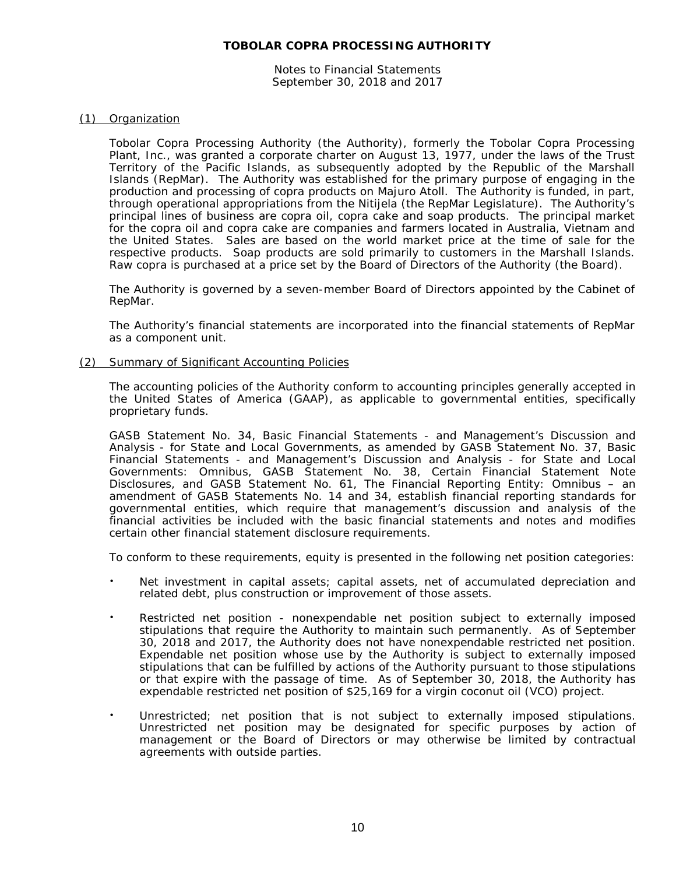Notes to Financial Statements September 30, 2018 and 2017

#### (1) Organization

Tobolar Copra Processing Authority (the Authority), formerly the Tobolar Copra Processing Plant, Inc., was granted a corporate charter on August 13, 1977, under the laws of the Trust Territory of the Pacific Islands, as subsequently adopted by the Republic of the Marshall Islands (RepMar). The Authority was established for the primary purpose of engaging in the production and processing of copra products on Majuro Atoll. The Authority is funded, in part, through operational appropriations from the Nitijela (the RepMar Legislature). The Authority's principal lines of business are copra oil, copra cake and soap products. The principal market for the copra oil and copra cake are companies and farmers located in Australia, Vietnam and the United States. Sales are based on the world market price at the time of sale for the respective products. Soap products are sold primarily to customers in the Marshall Islands. Raw copra is purchased at a price set by the Board of Directors of the Authority (the Board).

The Authority is governed by a seven-member Board of Directors appointed by the Cabinet of RepMar.

The Authority's financial statements are incorporated into the financial statements of RepMar as a component unit.

#### (2) Summary of Significant Accounting Policies

The accounting policies of the Authority conform to accounting principles generally accepted in the United States of America (GAAP), as applicable to governmental entities, specifically proprietary funds.

GASB Statement No. 34, *Basic Financial Statements - and Management's Discussion and Analysis - for State and Local Governments*, as amended by GASB Statement No. 37, *Basic Financial Statements - and Management's Discussion and Analysis - for State and Local Governments: Omnibus*, GASB Statement No. 38, *Certain Financial Statement Note Disclosures*, and GASB Statement No. 61, *The Financial Reporting Entity: Omnibus – an amendment of GASB Statements No. 14 and 34,* establish financial reporting standards for governmental entities, which require that management's discussion and analysis of the financial activities be included with the basic financial statements and notes and modifies certain other financial statement disclosure requirements.

To conform to these requirements, equity is presented in the following net position categories:

- Net investment in capital assets; capital assets, net of accumulated depreciation and related debt, plus construction or improvement of those assets.
- Restricted net position nonexpendable net position subject to externally imposed stipulations that require the Authority to maintain such permanently. As of September 30, 2018 and 2017, the Authority does not have nonexpendable restricted net position. Expendable net position whose use by the Authority is subject to externally imposed stipulations that can be fulfilled by actions of the Authority pursuant to those stipulations or that expire with the passage of time. As of September 30, 2018, the Authority has expendable restricted net position of \$25,169 for a virgin coconut oil (VCO) project.
- Unrestricted; net position that is not subject to externally imposed stipulations. Unrestricted net position may be designated for specific purposes by action of management or the Board of Directors or may otherwise be limited by contractual agreements with outside parties.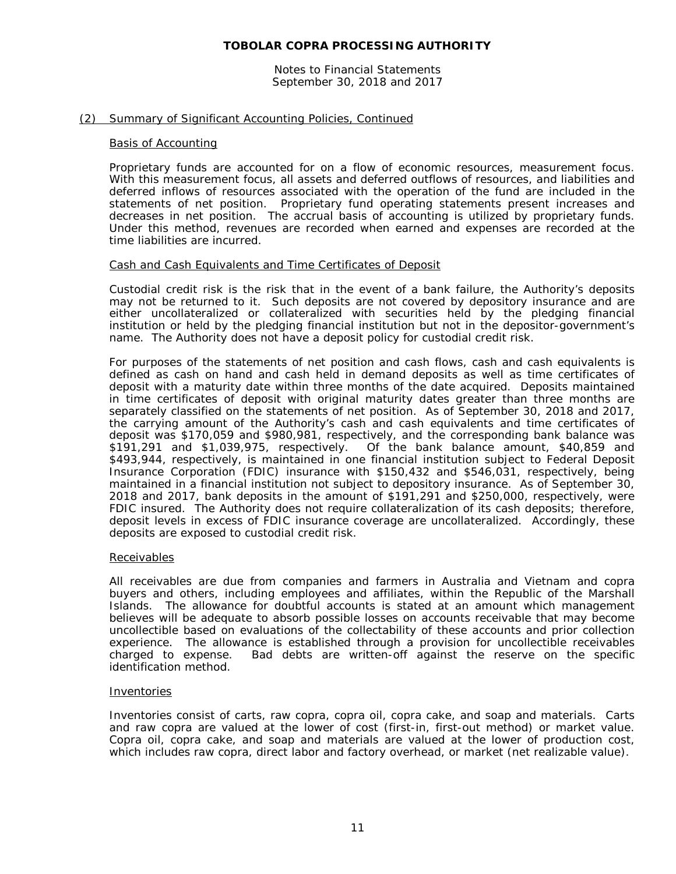Notes to Financial Statements September 30, 2018 and 2017

#### (2) Summary of Significant Accounting Policies, Continued

#### Basis of Accounting

Proprietary funds are accounted for on a flow of economic resources, measurement focus. With this measurement focus, all assets and deferred outflows of resources, and liabilities and deferred inflows of resources associated with the operation of the fund are included in the statements of net position. Proprietary fund operating statements present increases and decreases in net position. The accrual basis of accounting is utilized by proprietary funds. Under this method, revenues are recorded when earned and expenses are recorded at the time liabilities are incurred.

#### Cash and Cash Equivalents and Time Certificates of Deposit

Custodial credit risk is the risk that in the event of a bank failure, the Authority's deposits may not be returned to it. Such deposits are not covered by depository insurance and are either uncollateralized or collateralized with securities held by the pledging financial institution or held by the pledging financial institution but not in the depositor-government's name. The Authority does not have a deposit policy for custodial credit risk.

For purposes of the statements of net position and cash flows, cash and cash equivalents is defined as cash on hand and cash held in demand deposits as well as time certificates of deposit with a maturity date within three months of the date acquired. Deposits maintained in time certificates of deposit with original maturity dates greater than three months are separately classified on the statements of net position. As of September 30, 2018 and 2017, the carrying amount of the Authority's cash and cash equivalents and time certificates of deposit was \$170,059 and \$980,981, respectively, and the corresponding bank balance was \$191,291 and \$1,039,975, respectively. Of the bank balance amount, \$40,859 and \$493,944, respectively, is maintained in one financial institution subject to Federal Deposit Insurance Corporation (FDIC) insurance with \$150,432 and \$546,031, respectively, being maintained in a financial institution not subject to depository insurance. As of September 30, 2018 and 2017, bank deposits in the amount of \$191,291 and \$250,000, respectively, were FDIC insured. The Authority does not require collateralization of its cash deposits; therefore, deposit levels in excess of FDIC insurance coverage are uncollateralized. Accordingly, these deposits are exposed to custodial credit risk.

#### Receivables

All receivables are due from companies and farmers in Australia and Vietnam and copra buyers and others, including employees and affiliates, within the Republic of the Marshall Islands. The allowance for doubtful accounts is stated at an amount which management believes will be adequate to absorb possible losses on accounts receivable that may become uncollectible based on evaluations of the collectability of these accounts and prior collection experience. The allowance is established through a provision for uncollectible receivables charged to expense. Bad debts are written-off against the reserve on the specific Bad debts are written-off against the reserve on the specific identification method.

#### Inventories

Inventories consist of carts, raw copra, copra oil, copra cake, and soap and materials. Carts and raw copra are valued at the lower of cost (first-in, first-out method) or market value. Copra oil, copra cake, and soap and materials are valued at the lower of production cost, which includes raw copra, direct labor and factory overhead, or market (net realizable value).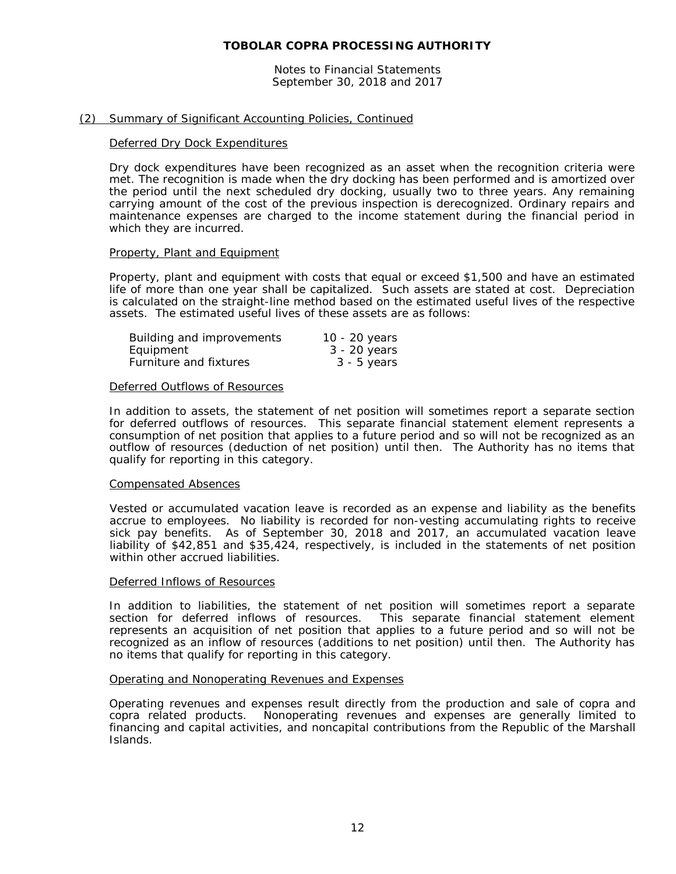Notes to Financial Statements September 30, 2018 and 2017

#### (2) Summary of Significant Accounting Policies, Continued

#### Deferred Dry Dock Expenditures

Dry dock expenditures have been recognized as an asset when the recognition criteria were met. The recognition is made when the dry docking has been performed and is amortized over the period until the next scheduled dry docking, usually two to three years. Any remaining carrying amount of the cost of the previous inspection is derecognized. Ordinary repairs and maintenance expenses are charged to the income statement during the financial period in which they are incurred.

#### Property, Plant and Equipment

Property, plant and equipment with costs that equal or exceed \$1,500 and have an estimated life of more than one year shall be capitalized. Such assets are stated at cost. Depreciation is calculated on the straight-line method based on the estimated useful lives of the respective assets. The estimated useful lives of these assets are as follows:

| Building and improvements | 10 - 20 years |
|---------------------------|---------------|
| Equipment                 | 3 - 20 years  |
| Furniture and fixtures    | 3 - 5 years   |

#### Deferred Outflows of Resources

In addition to assets, the statement of net position will sometimes report a separate section for deferred outflows of resources. This separate financial statement element represents a consumption of net position that applies to a future period and so will not be recognized as an outflow of resources (deduction of net position) until then. The Authority has no items that qualify for reporting in this category.

#### Compensated Absences

Vested or accumulated vacation leave is recorded as an expense and liability as the benefits accrue to employees. No liability is recorded for non-vesting accumulating rights to receive sick pay benefits. As of September 30, 2018 and 2017, an accumulated vacation leave liability of \$42,851 and \$35,424, respectively, is included in the statements of net position within other accrued liabilities.

#### Deferred Inflows of Resources

In addition to liabilities, the statement of net position will sometimes report a separate section for deferred inflows of resources. This separate financial statement element represents an acquisition of net position that applies to a future period and so will not be recognized as an inflow of resources (additions to net position) until then. The Authority has no items that qualify for reporting in this category.

#### Operating and Nonoperating Revenues and Expenses

Operating revenues and expenses result directly from the production and sale of copra and copra related products. Nonoperating revenues and expenses are generally limited to financing and capital activities, and noncapital contributions from the Republic of the Marshall Islands.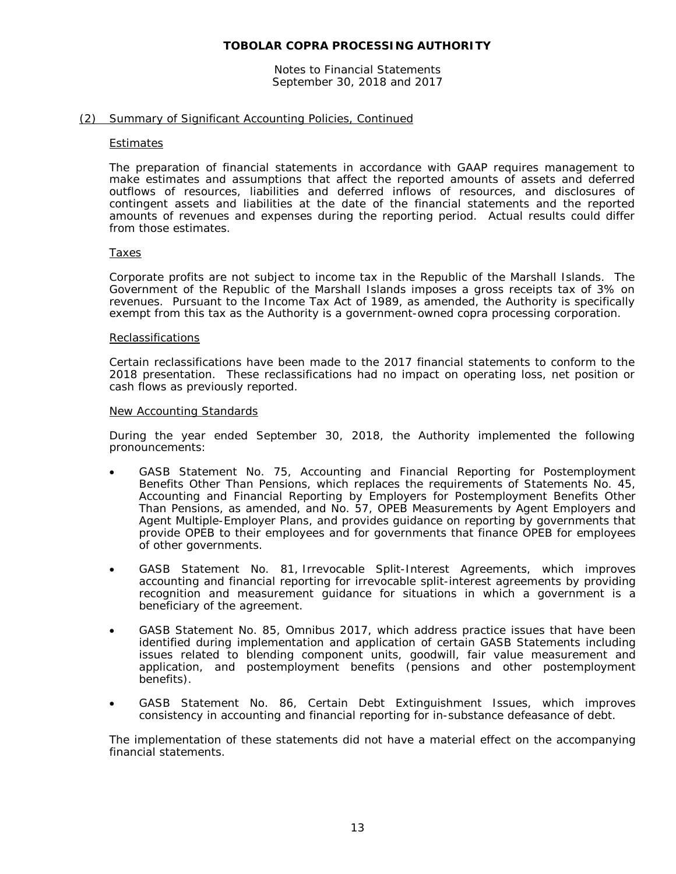Notes to Financial Statements September 30, 2018 and 2017

#### (2) Summary of Significant Accounting Policies, Continued

#### **Estimates**

The preparation of financial statements in accordance with GAAP requires management to make estimates and assumptions that affect the reported amounts of assets and deferred outflows of resources, liabilities and deferred inflows of resources, and disclosures of contingent assets and liabilities at the date of the financial statements and the reported amounts of revenues and expenses during the reporting period. Actual results could differ from those estimates.

#### Taxes

Corporate profits are not subject to income tax in the Republic of the Marshall Islands. The Government of the Republic of the Marshall Islands imposes a gross receipts tax of 3% on revenues. Pursuant to the Income Tax Act of 1989, as amended, the Authority is specifically exempt from this tax as the Authority is a government-owned copra processing corporation.

#### Reclassifications

Certain reclassifications have been made to the 2017 financial statements to conform to the 2018 presentation. These reclassifications had no impact on operating loss, net position or cash flows as previously reported.

#### New Accounting Standards

During the year ended September 30, 2018, the Authority implemented the following pronouncements:

- GASB Statement No. 75, *Accounting and Financial Reporting for Postemployment Benefits Other Than Pensions*, which replaces the requirements of Statements No. 45, *Accounting and Financial Reporting by Employers for Postemployment Benefits Other Than Pensions*, as amended, and No. 57, *OPEB Measurements by Agent Employers and Agent Multiple-Employer Plans*, and provides guidance on reporting by governments that provide OPEB to their employees and for governments that finance OPEB for employees of other governments.
- GASB Statement No. 81, *Irrevocable Split-Interest Agreements,* which improves accounting and financial reporting for irrevocable split-interest agreements by providing recognition and measurement guidance for situations in which a government is a beneficiary of the agreement.
- GASB Statement No. 85, *Omnibus 2017*, which address practice issues that have been identified during implementation and application of certain GASB Statements including issues related to blending component units, goodwill, fair value measurement and application, and postemployment benefits (pensions and other postemployment benefits).
- GASB Statement No. 86, *Certain Debt Extinguishment Issues*, which improves consistency in accounting and financial reporting for in-substance defeasance of debt.

The implementation of these statements did not have a material effect on the accompanying financial statements.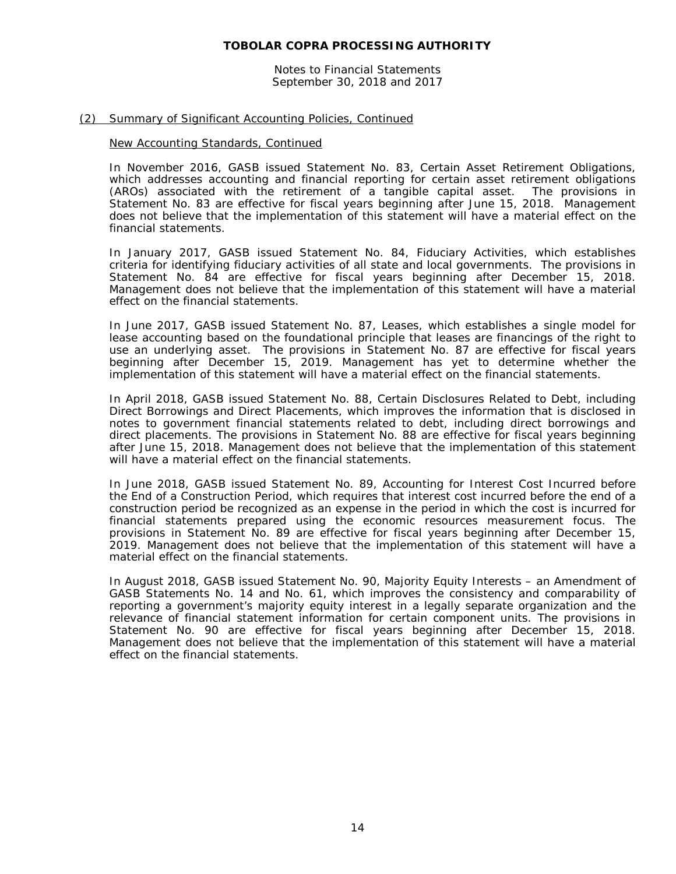Notes to Financial Statements September 30, 2018 and 2017

#### (2) Summary of Significant Accounting Policies, Continued

#### New Accounting Standards, Continued

In November 2016, GASB issued Statement No. 83, *Certain Asset Retirement Obligations*, which addresses accounting and financial reporting for certain asset retirement obligations (AROs) associated with the retirement of a tangible capital asset. The provisions in Statement No. 83 are effective for fiscal years beginning after June 15, 2018. Management does not believe that the implementation of this statement will have a material effect on the financial statements.

In January 2017, GASB issued Statement No. 84, *Fiduciary Activities*, which establishes criteria for identifying fiduciary activities of all state and local governments. The provisions in Statement No. 84 are effective for fiscal years beginning after December 15, 2018. Management does not believe that the implementation of this statement will have a material effect on the financial statements.

In June 2017, GASB issued Statement No. 87, *Leases*, which establishes a single model for lease accounting based on the foundational principle that leases are financings of the right to use an underlying asset. The provisions in Statement No. 87 are effective for fiscal years beginning after December 15, 2019. Management has yet to determine whether the implementation of this statement will have a material effect on the financial statements.

In April 2018, GASB issued Statement No. 88, *Certain Disclosures Related to Debt, including Direct Borrowings and Direct Placements*, which improves the information that is disclosed in notes to government financial statements related to debt, including direct borrowings and direct placements. The provisions in Statement No. 88 are effective for fiscal years beginning after June 15, 2018. Management does not believe that the implementation of this statement will have a material effect on the financial statements.

In June 2018, GASB issued Statement No. 89, *Accounting for Interest Cost Incurred before the End of a Construction Period*, which requires that interest cost incurred before the end of a construction period be recognized as an expense in the period in which the cost is incurred for financial statements prepared using the economic resources measurement focus. The provisions in Statement No. 89 are effective for fiscal years beginning after December 15, 2019. Management does not believe that the implementation of this statement will have a material effect on the financial statements.

In August 2018, GASB issued Statement No. 90, *Majority Equity Interests – an Amendment of GASB Statements No. 14 and No. 61,* which improves the consistency and comparability of reporting a government's majority equity interest in a legally separate organization and the relevance of financial statement information for certain component units. The provisions in Statement No. 90 are effective for fiscal years beginning after December 15, 2018. Management does not believe that the implementation of this statement will have a material effect on the financial statements.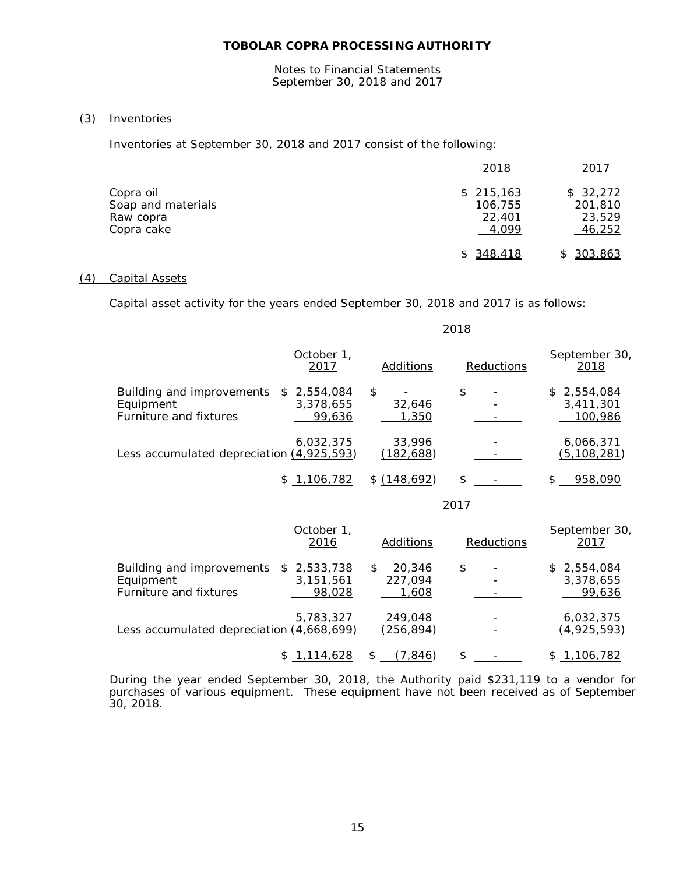Notes to Financial Statements September 30, 2018 and 2017

#### (3) Inventories

Inventories at September 30, 2018 and 2017 consist of the following:

|                    | 2018       | 2017      |
|--------------------|------------|-----------|
| Copra oil          | \$215,163  | \$32,272  |
| Soap and materials | 106,755    | 201,810   |
| Raw copra          | 22,401     | 23,529    |
| Copra cake         | 4,099      | 46,252    |
|                    | \$ 348,418 | \$303,863 |

### (4) Capital Assets

Capital asset activity for the years ended September 30, 2018 and 2017 is as follows:

|                                                                  |                                        |                                  | 2018       |                                            |
|------------------------------------------------------------------|----------------------------------------|----------------------------------|------------|--------------------------------------------|
|                                                                  | October 1,<br>2017                     | <b>Additions</b>                 | Reductions | September 30,<br>2018                      |
| Building and improvements<br>Equipment<br>Furniture and fixtures | 2,554,084<br>\$<br>3,378,655<br>99,636 | \$<br>32,646<br>1,350            | \$         | \$2,554,084<br>3,411,301<br><u>100,986</u> |
| Less accumulated depreciation (4,925,593)                        | 6,032,375                              | 33,996<br>(182, 688)             |            | 6,066,371<br>(5, 108, 281)                 |
|                                                                  | \$1,106,782                            | \$(148,692)                      | \$         | 958,090<br>\$.                             |
|                                                                  |                                        |                                  | 2017       |                                            |
|                                                                  | October 1,<br>2016                     | <b>Additions</b>                 | Reductions | September 30,<br>2017                      |
| Building and improvements<br>Equipment<br>Furniture and fixtures | 2,533,738<br>\$<br>3,151,561<br>98,028 | \$<br>20,346<br>227,094<br>1,608 | \$         | \$2,554,084<br>3,378,655<br>99,636         |
| Less accumulated depreciation (4,668,699)                        | 5,783,327                              | 249,048<br>(256, 894)            |            | 6,032,375<br>(4, 925, 593)                 |
|                                                                  | 1,114,628<br>S.                        | (7,846)<br>\$                    | \$         | 1,106,782<br>S.                            |

During the year ended September 30, 2018, the Authority paid \$231,119 to a vendor for purchases of various equipment. These equipment have not been received as of September 30, 2018.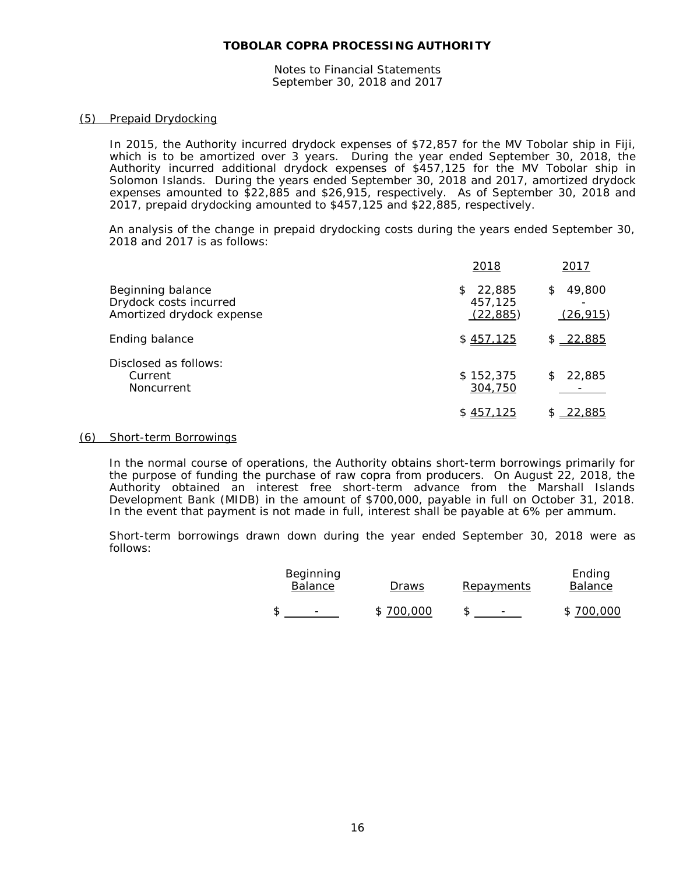Notes to Financial Statements September 30, 2018 and 2017

#### (5) Prepaid Drydocking

In 2015, the Authority incurred drydock expenses of \$72,857 for the MV Tobolar ship in Fiji, which is to be amortized over 3 years. During the year ended September 30, 2018, the Authority incurred additional drydock expenses of \$457,125 for the MV Tobolar ship in Solomon Islands. During the years ended September 30, 2018 and 2017, amortized drydock expenses amounted to \$22,885 and \$26,915, respectively. As of September 30, 2018 and 2017, prepaid drydocking amounted to \$457,125 and \$22,885, respectively.

An analysis of the change in prepaid drydocking costs during the years ended September 30, 2018 and 2017 is as follows:

|                                                                          | 2018                                  | 2017                      |
|--------------------------------------------------------------------------|---------------------------------------|---------------------------|
| Beginning balance<br>Drydock costs incurred<br>Amortized drydock expense | 22,885<br>\$.<br>457,125<br>(22, 885) | 49,800<br>\$<br>(26, 915) |
| Ending balance                                                           | \$457,125                             | \$ 22,885                 |
| Disclosed as follows:<br>Current<br><b>Noncurrent</b>                    | \$152,375<br>304,750                  | 22,885<br>\$.             |
|                                                                          | \$457,125                             | 22,885                    |

#### (6) Short-term Borrowings

In the normal course of operations, the Authority obtains short-term borrowings primarily for the purpose of funding the purchase of raw copra from producers. On August 22, 2018, the Authority obtained an interest free short-term advance from the Marshall Islands Development Bank (MIDB) in the amount of \$700,000, payable in full on October 31, 2018. In the event that payment is not made in full, interest shall be payable at 6% per ammum.

Short-term borrowings drawn down during the year ended September 30, 2018 were as follows:

| Beginning<br>Balance     | Draws     | <b>Repayments</b> | Ending<br>Balance |
|--------------------------|-----------|-------------------|-------------------|
| $\overline{\phantom{0}}$ | \$700,000 | $\sim$ $-$        | \$700,000         |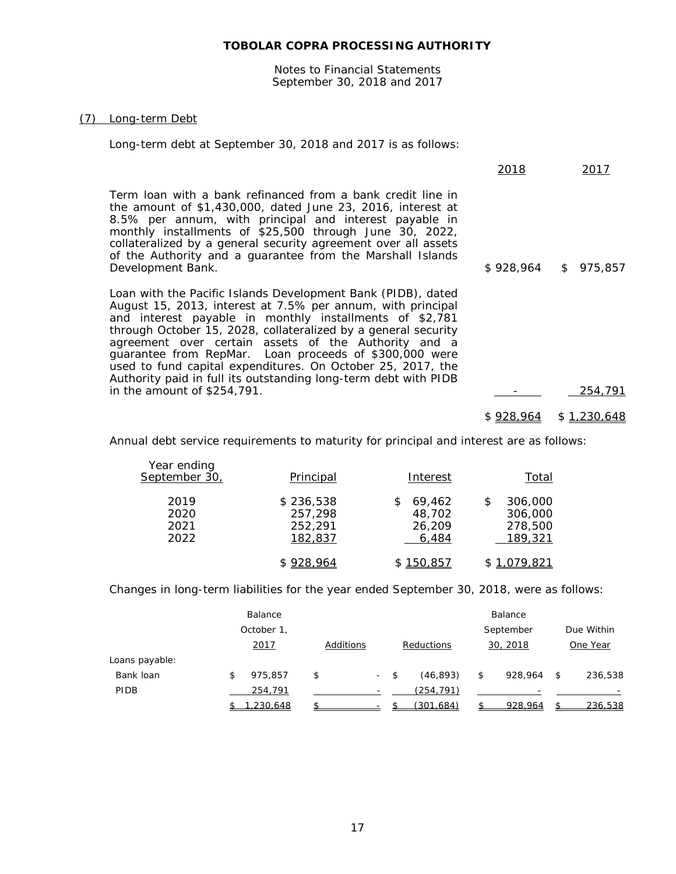Notes to Financial Statements September 30, 2018 and 2017

#### (7) Long-term Debt

Long-term debt at September 30, 2018 and 2017 is as follows:

|                                                                                                                                                                                                                                                                                                                                                                                                                                                                                                                                             | 2018       | 2017                  |
|---------------------------------------------------------------------------------------------------------------------------------------------------------------------------------------------------------------------------------------------------------------------------------------------------------------------------------------------------------------------------------------------------------------------------------------------------------------------------------------------------------------------------------------------|------------|-----------------------|
| Term loan with a bank refinanced from a bank credit line in<br>the amount of \$1,430,000, dated June 23, 2016, interest at<br>8.5% per annum, with principal and interest payable in<br>monthly installments of \$25,500 through June 30, 2022,<br>collateralized by a general security agreement over all assets<br>of the Authority and a guarantee from the Marshall Islands<br>Development Bank.                                                                                                                                        |            | $$928,964$ $$975,857$ |
| Loan with the Pacific Islands Development Bank (PIDB), dated<br>August 15, 2013, interest at 7.5% per annum, with principal<br>and interest payable in monthly installments of \$2,781<br>through October 15, 2028, collateralized by a general security<br>agreement over certain assets of the Authority and a<br>guarantee from RepMar. Loan proceeds of \$300,000 were<br>used to fund capital expenditures. On October 25, 2017, the<br>Authority paid in full its outstanding long-term debt with PIDB<br>in the amount of \$254,791. |            | 254,791               |
|                                                                                                                                                                                                                                                                                                                                                                                                                                                                                                                                             |            |                       |
|                                                                                                                                                                                                                                                                                                                                                                                                                                                                                                                                             | \$ 928,964 | \$1,230,648           |

Annual debt service requirements to maturity for principal and interest are as follows:

| Year ending<br>September 30, | Principal                                  | Interest                            | Total                                          |
|------------------------------|--------------------------------------------|-------------------------------------|------------------------------------------------|
| 2019<br>2020<br>2021<br>2022 | \$236,538<br>257,298<br>252,291<br>182,837 | 69.462<br>48.702<br>26,209<br>6.484 | 306,000<br>\$<br>306,000<br>278,500<br>189,321 |
|                              | \$928,964                                  | \$150,857                           | \$1,079,821                                    |

Changes in long-term liabilities for the year ended September 30, 2018, were as follows:

|                | Balance       |           |        |      |            | Balance       |               |
|----------------|---------------|-----------|--------|------|------------|---------------|---------------|
|                | October 1,    |           |        |      |            | September     | Due Within    |
|                | 2017          | Additions |        |      | Reductions | 30, 2018      | One Year      |
| Loans payable: |               |           |        |      |            |               |               |
| Bank loan      | \$<br>975.857 | \$        | $\sim$ | - \$ | (46, 893)  | \$<br>928,964 | \$<br>236,538 |
| PIDB           | 254,791       |           |        |      | (254, 791) |               |               |
|                | .230.648      |           |        |      | (301.684)  | 928.964       | 236.538       |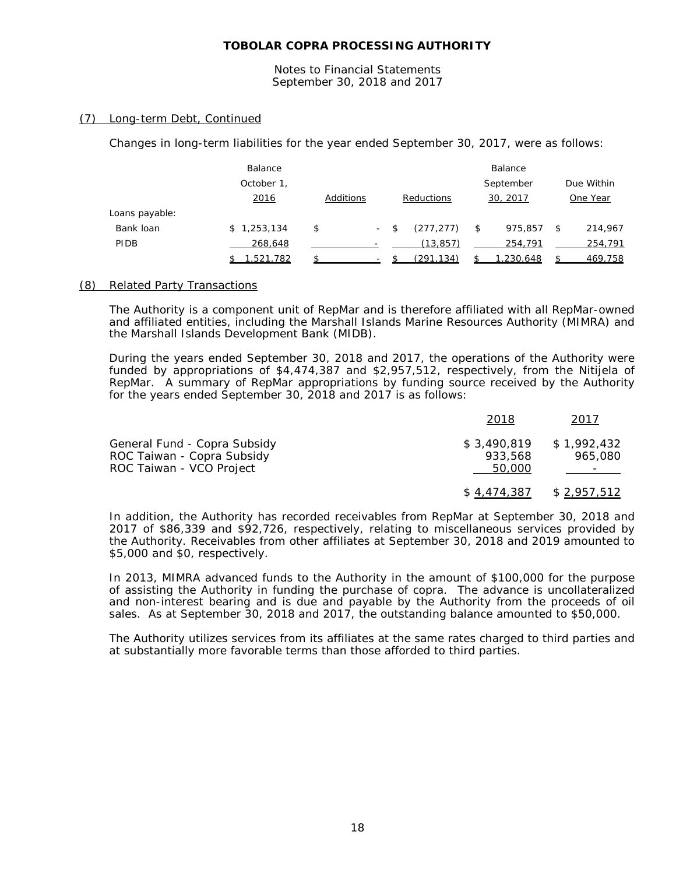Notes to Financial Statements September 30, 2018 and 2017

#### (7) Long-term Debt, Continued

Changes in long-term liabilities for the year ended September 30, 2017, were as follows:

|                | Balance     |           |        |                  | Balance       |                |
|----------------|-------------|-----------|--------|------------------|---------------|----------------|
|                | October 1,  |           |        |                  | September     | Due Within     |
|                | 2016        | Additions |        | Reductions       | 30, 2017      | One Year       |
| Loans payable: |             |           |        |                  |               |                |
| Bank loan      | \$1,253,134 | \$        | $\sim$ | \$<br>(277, 277) | \$<br>975.857 | \$<br>214,967  |
| PIDB           | 268,648     |           |        | (13, 857)        | 254,791       | 254,791        |
|                | ,521,782    |           |        | (291.134)        | .230.648      | <u>469,758</u> |

#### (8) Related Party Transactions

The Authority is a component unit of RepMar and is therefore affiliated with all RepMar-owned and affiliated entities, including the Marshall Islands Marine Resources Authority (MIMRA) and the Marshall Islands Development Bank (MIDB).

During the years ended September 30, 2018 and 2017, the operations of the Authority were funded by appropriations of \$4,474,387 and \$2,957,512, respectively, from the Nitijela of RepMar. A summary of RepMar appropriations by funding source received by the Authority for the years ended September 30, 2018 and 2017 is as follows:

|                                                                                        | 2018                             | 2017                   |
|----------------------------------------------------------------------------------------|----------------------------------|------------------------|
| General Fund - Copra Subsidy<br>ROC Taiwan - Copra Subsidy<br>ROC Taiwan - VCO Project | \$3,490,819<br>933,568<br>50,000 | \$1,992,432<br>965,080 |
|                                                                                        | \$4,474,387                      | \$2,957,512            |

In addition, the Authority has recorded receivables from RepMar at September 30, 2018 and 2017 of \$86,339 and \$92,726, respectively, relating to miscellaneous services provided by the Authority. Receivables from other affiliates at September 30, 2018 and 2019 amounted to \$5,000 and \$0, respectively.

In 2013, MIMRA advanced funds to the Authority in the amount of \$100,000 for the purpose of assisting the Authority in funding the purchase of copra. The advance is uncollateralized and non-interest bearing and is due and payable by the Authority from the proceeds of oil sales. As at September 30, 2018 and 2017, the outstanding balance amounted to \$50,000.

The Authority utilizes services from its affiliates at the same rates charged to third parties and at substantially more favorable terms than those afforded to third parties.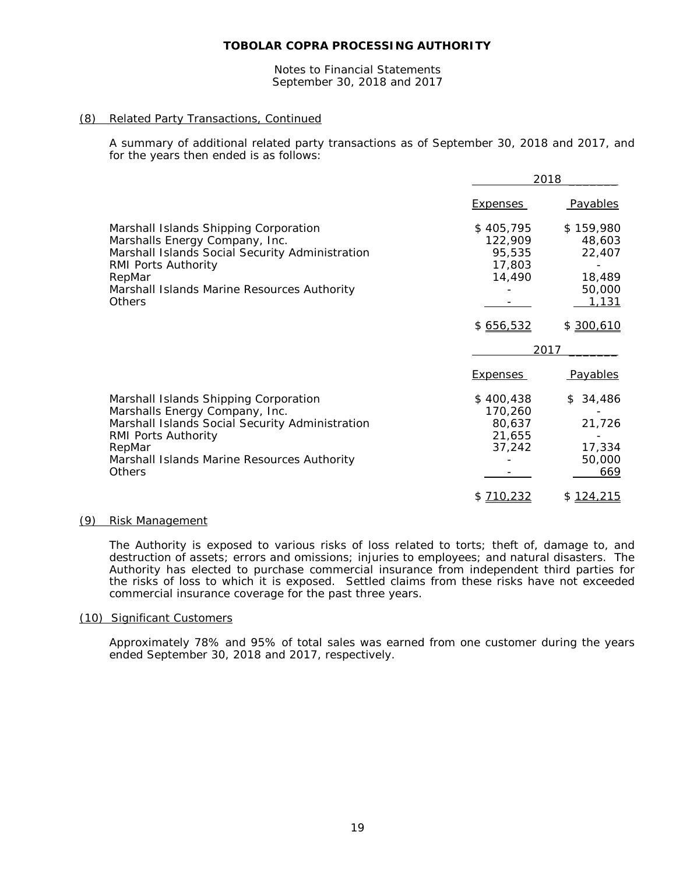#### Notes to Financial Statements September 30, 2018 and 2017

### (8) Related Party Transactions, Continued

A summary of additional related party transactions as of September 30, 2018 and 2017, and for the years then ended is as follows:

|                                                 | 2018            |                 |
|-------------------------------------------------|-----------------|-----------------|
|                                                 | Expenses        | <b>Payables</b> |
| Marshall Islands Shipping Corporation           | \$405,795       | \$159,980       |
| Marshalls Energy Company, Inc.                  | 122,909         | 48,603          |
| Marshall Islands Social Security Administration | 95,535          | 22,407          |
| RMI Ports Authority                             | 17,803          |                 |
| RepMar                                          | 14,490          | 18,489          |
| Marshall Islands Marine Resources Authority     |                 | 50,000          |
| <b>Others</b>                                   |                 | 1,131           |
|                                                 | \$656,532       | \$300,610       |
|                                                 |                 | 2017            |
|                                                 | <b>Expenses</b> | Payables        |
| Marshall Islands Shipping Corporation           | \$400,438       | 34,486<br>\$    |
| Marshalls Energy Company, Inc.                  | 170,260         |                 |
| Marshall Islands Social Security Administration | 80,637          | 21,726          |
| RMI Ports Authority                             | 21,655          |                 |
| RepMar                                          | 37,242          | 17,334          |
| Marshall Islands Marine Resources Authority     |                 | 50,000          |
| <b>Others</b>                                   |                 | 669             |
|                                                 | \$710,232       | \$124,215       |

#### (9) Risk Management

The Authority is exposed to various risks of loss related to torts; theft of, damage to, and destruction of assets; errors and omissions; injuries to employees; and natural disasters. The Authority has elected to purchase commercial insurance from independent third parties for the risks of loss to which it is exposed. Settled claims from these risks have not exceeded commercial insurance coverage for the past three years.

# (10) Significant Customers

Approximately 78% and 95% of total sales was earned from one customer during the years ended September 30, 2018 and 2017, respectively.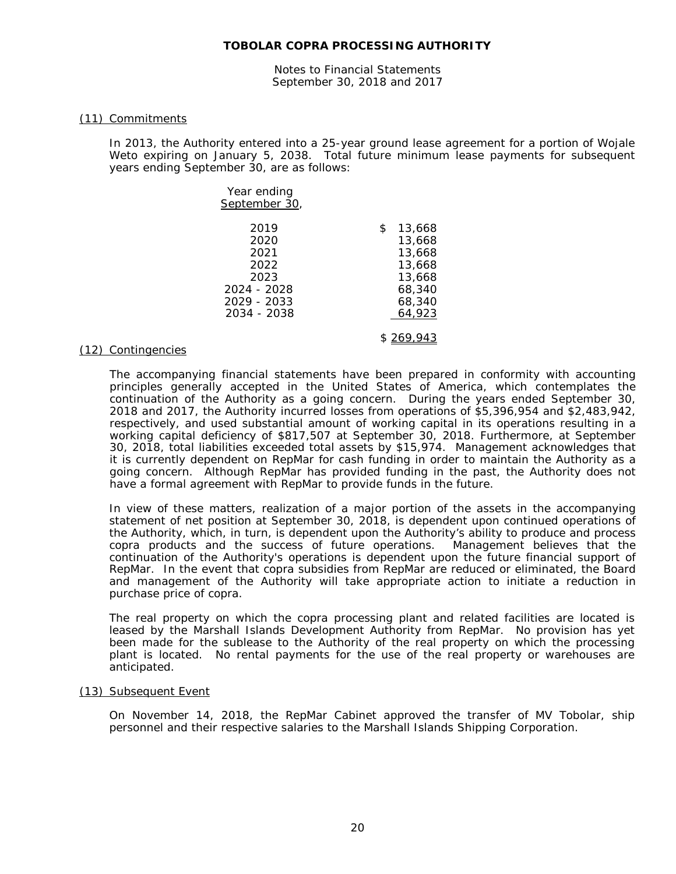Notes to Financial Statements September 30, 2018 and 2017

#### (11) Commitments

In 2013, the Authority entered into a 25-year ground lease agreement for a portion of Wojale Weto expiring on January 5, 2038. Total future minimum lease payments for subsequent years ending September 30, are as follows:

| September 30,                                       |                                                                |
|-----------------------------------------------------|----------------------------------------------------------------|
| 2019<br>2020<br>2021<br>2022<br>2023<br>2024 - 2028 | \$<br>13,668<br>13,668<br>13,668<br>13,668<br>13,668<br>68,340 |
| 2029 - 2033<br>2034 - 2038                          | 68,340<br>64,923                                               |

Year ending

#### (12) Contingencies

The accompanying financial statements have been prepared in conformity with accounting principles generally accepted in the United States of America, which contemplates the continuation of the Authority as a going concern. During the years ended September 30, 2018 and 2017, the Authority incurred losses from operations of \$5,396,954 and \$2,483,942, respectively, and used substantial amount of working capital in its operations resulting in a working capital deficiency of \$817,507 at September 30, 2018. Furthermore, at September 30, 2018, total liabilities exceeded total assets by \$15,974. Management acknowledges that it is currently dependent on RepMar for cash funding in order to maintain the Authority as a going concern. Although RepMar has provided funding in the past, the Authority does not have a formal agreement with RepMar to provide funds in the future.

\$ 269,943

In view of these matters, realization of a major portion of the assets in the accompanying statement of net position at September 30, 2018, is dependent upon continued operations of the Authority, which, in turn, is dependent upon the Authority's ability to produce and process copra products and the success of future operations. Management believes that the continuation of the Authority's operations is dependent upon the future financial support of RepMar. In the event that copra subsidies from RepMar are reduced or eliminated, the Board and management of the Authority will take appropriate action to initiate a reduction in purchase price of copra.

The real property on which the copra processing plant and related facilities are located is leased by the Marshall Islands Development Authority from RepMar. No provision has yet been made for the sublease to the Authority of the real property on which the processing plant is located. No rental payments for the use of the real property or warehouses are anticipated.

#### (13) Subsequent Event

On November 14, 2018, the RepMar Cabinet approved the transfer of MV Tobolar, ship personnel and their respective salaries to the Marshall Islands Shipping Corporation.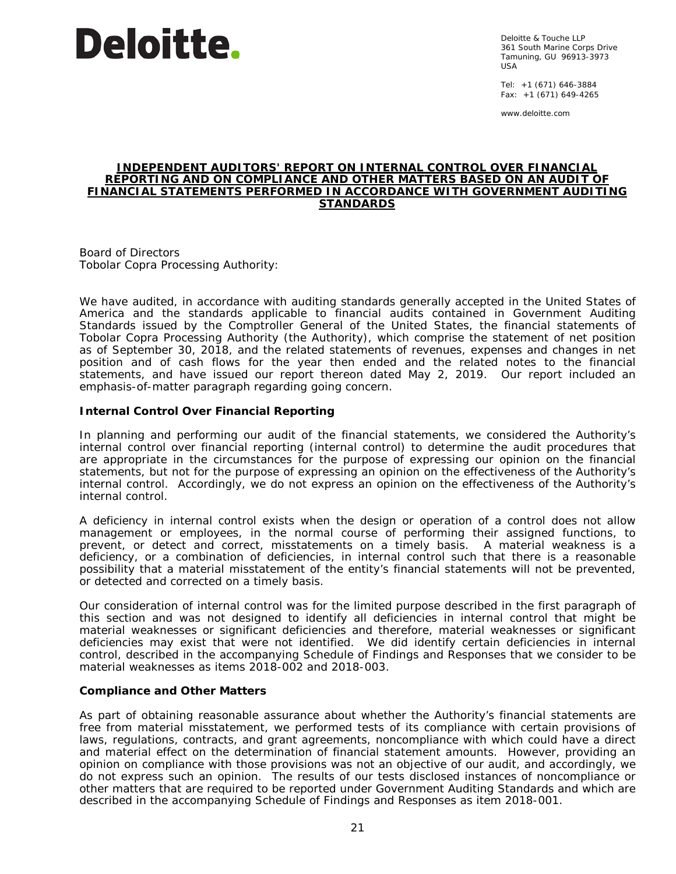# **Deloitte.**

Deloitte & Touche LLP 361 South Marine Corps Drive Tamuning, GU 96913-3973 USA

Tel: +1 (671) 646-3884 Fax: +1 (671) 649-4265

www.deloitte.com

#### **INDEPENDENT AUDITORS' REPORT ON INTERNAL CONTROL OVER FINANCIAL REPORTING AND ON COMPLIANCE AND OTHER MATTERS BASED ON AN AUDIT OF FINANCIAL STATEMENTS PERFORMED IN ACCORDANCE WITH** *GOVERNMENT AUDITING STANDARDS*

Board of Directors Tobolar Copra Processing Authority:

We have audited, in accordance with auditing standards generally accepted in the United States of America and the standards applicable to financial audits contained in *Government Auditing Standards* issued by the Comptroller General of the United States, the financial statements of Tobolar Copra Processing Authority (the Authority), which comprise the statement of net position as of September 30, 2018, and the related statements of revenues, expenses and changes in net position and of cash flows for the year then ended and the related notes to the financial statements, and have issued our report thereon dated May 2, 2019. Our report included an emphasis-of-matter paragraph regarding going concern.

### **Internal Control Over Financial Reporting**

In planning and performing our audit of the financial statements, we considered the Authority's internal control over financial reporting (internal control) to determine the audit procedures that are appropriate in the circumstances for the purpose of expressing our opinion on the financial statements, but not for the purpose of expressing an opinion on the effectiveness of the Authority's internal control. Accordingly, we do not express an opinion on the effectiveness of the Authority's internal control.

A *deficiency in internal control* exists when the design or operation of a control does not allow management or employees, in the normal course of performing their assigned functions, to prevent, or detect and correct, misstatements on a timely basis. A *material weakness* is a deficiency, or a combination of deficiencies, in internal control such that there is a reasonable possibility that a material misstatement of the entity's financial statements will not be prevented, or detected and corrected on a timely basis.

Our consideration of internal control was for the limited purpose described in the first paragraph of this section and was not designed to identify all deficiencies in internal control that might be material weaknesses or significant deficiencies and therefore, material weaknesses or significant deficiencies may exist that were not identified. We did identify certain deficiencies in internal control, described in the accompanying Schedule of Findings and Responses that we consider to be material weaknesses as items 2018-002 and 2018-003.

#### **Compliance and Other Matters**

As part of obtaining reasonable assurance about whether the Authority's financial statements are free from material misstatement, we performed tests of its compliance with certain provisions of laws, regulations, contracts, and grant agreements, noncompliance with which could have a direct and material effect on the determination of financial statement amounts. However, providing an opinion on compliance with those provisions was not an objective of our audit, and accordingly, we do not express such an opinion. The results of our tests disclosed instances of noncompliance or other matters that are required to be reported under *Government Auditing Standards* and which are described in the accompanying Schedule of Findings and Responses as item 2018-001.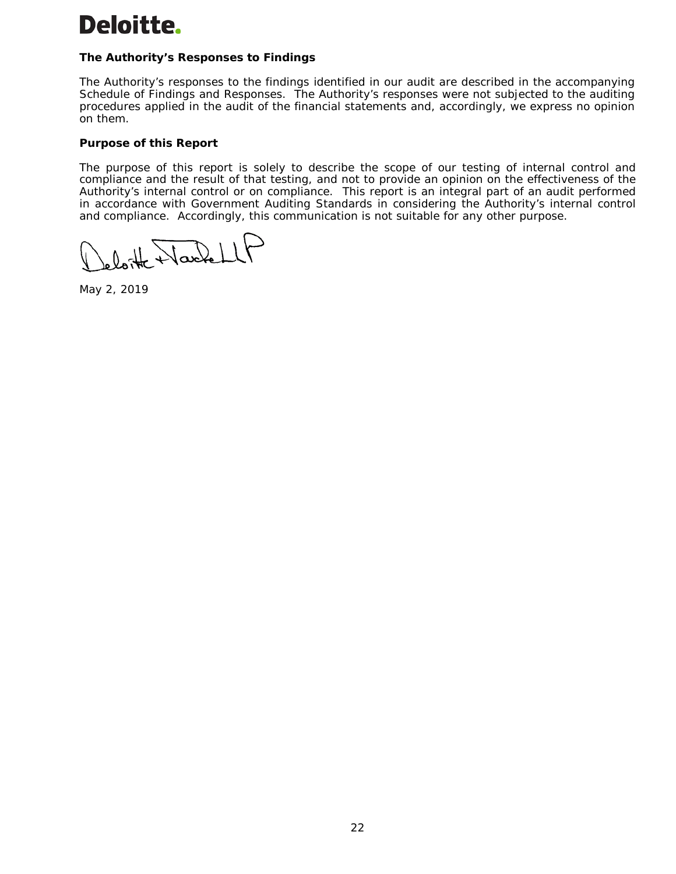# **Deloitte.**

# **The Authority's Responses to Findings**

The Authority's responses to the findings identified in our audit are described in the accompanying Schedule of Findings and Responses. The Authority's responses were not subjected to the auditing procedures applied in the audit of the financial statements and, accordingly, we express no opinion on them.

# **Purpose of this Report**

The purpose of this report is solely to describe the scope of our testing of internal control and compliance and the result of that testing, and not to provide an opinion on the effectiveness of the Authority's internal control or on compliance. This report is an integral part of an audit performed in accordance with *Government Auditing Standards* in considering the Authority's internal control and compliance. Accordingly, this communication is not suitable for any other purpose.

loite Wackell

May 2, 2019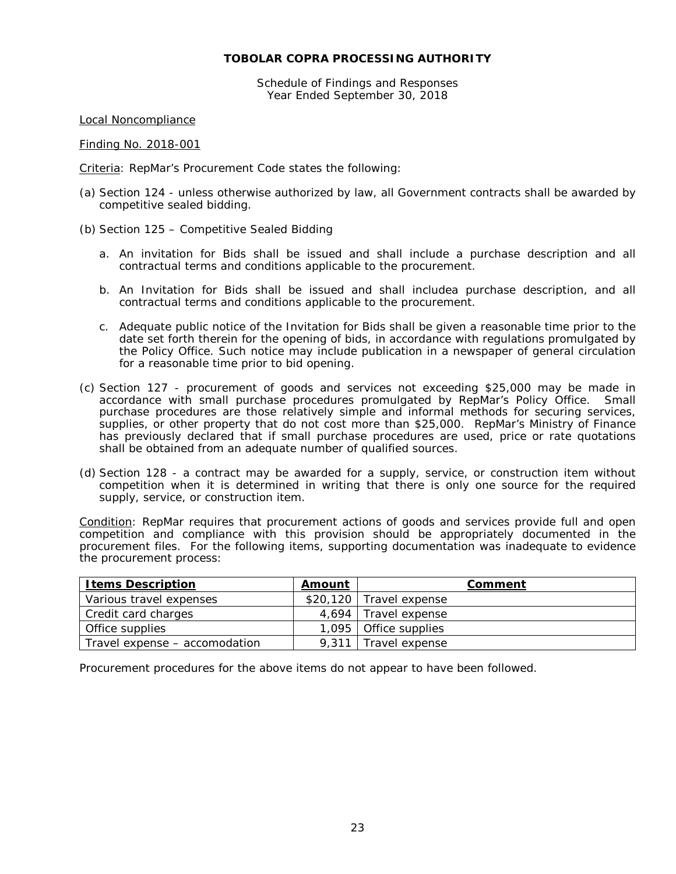Schedule of Findings and Responses Year Ended September 30, 2018

Local Noncompliance

Finding No. 2018-001

Criteria: RepMar's Procurement Code states the following:

- (a) Section 124 unless otherwise authorized by law, all Government contracts shall be awarded by competitive sealed bidding.
- (b) Section 125 Competitive Sealed Bidding
	- a. An invitation for Bids shall be issued and shall include a purchase description and all contractual terms and conditions applicable to the procurement.
	- b. An Invitation for Bids shall be issued and shall includea purchase description, and all contractual terms and conditions applicable to the procurement.
	- c. Adequate public notice of the Invitation for Bids shall be given a reasonable time prior to the date set forth therein for the opening of bids, in accordance with regulations promulgated by the Policy Office. Such notice may include publication in a newspaper of general circulation for a reasonable time prior to bid opening.
- (c) Section 127 procurement of goods and services not exceeding \$25,000 may be made in accordance with small purchase procedures promulgated by RepMar's Policy Office. Small purchase procedures are those relatively simple and informal methods for securing services, supplies, or other property that do not cost more than \$25,000. RepMar's Ministry of Finance has previously declared that if small purchase procedures are used, price or rate quotations shall be obtained from an adequate number of qualified sources.
- (d) Section 128 a contract may be awarded for a supply, service, or construction item without competition when it is determined in writing that there is only one source for the required supply, service, or construction item.

Condition: RepMar requires that procurement actions of goods and services provide full and open competition and compliance with this provision should be appropriately documented in the procurement files. For the following items, supporting documentation was inadequate to evidence the procurement process:

| <b>Items Description</b>      | Amount | Comment                  |
|-------------------------------|--------|--------------------------|
| Various travel expenses       |        | $$20,120$ Travel expense |
| Credit card charges           |        | 4,694   Travel expense   |
| Office supplies               |        | 1,095   Office supplies  |
| Travel expense - accomodation | 9.311  | Travel expense           |

Procurement procedures for the above items do not appear to have been followed.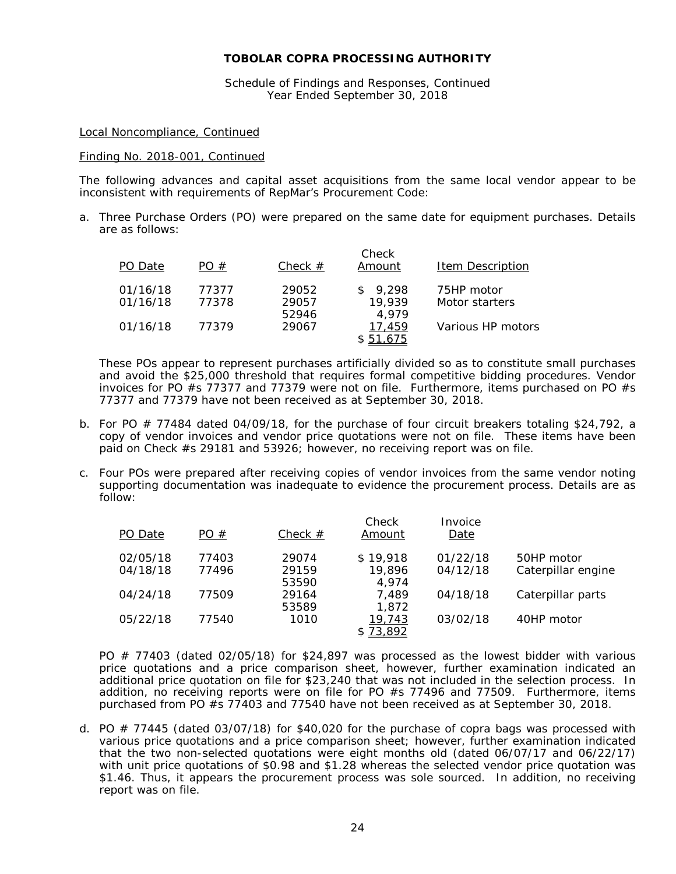Schedule of Findings and Responses, Continued Year Ended September 30, 2018

### Local Noncompliance, Continued

#### Finding No. 2018-001, Continued

The following advances and capital asset acquisitions from the same local vendor appear to be inconsistent with requirements of RepMar's Procurement Code:

a. Three Purchase Orders (PO) were prepared on the same date for equipment purchases. Details are as follows:

| PO Date              | PO#            | Check $#$      | Check<br>Amount           | Item Description             |
|----------------------|----------------|----------------|---------------------------|------------------------------|
| 01/16/18<br>01/16/18 | 77377<br>77378 | 29052<br>29057 | 9,298<br>19.939           | 75HP motor<br>Motor starters |
| 01/16/18             | 77379          | 52946<br>29067 | 4.979<br>17,459<br>51,675 | Various HP motors            |

These POs appear to represent purchases artificially divided so as to constitute small purchases and avoid the \$25,000 threshold that requires formal competitive bidding procedures. Vendor invoices for PO  $\#s$  77377 and 77379 were not on file. Furthermore, items purchased on PO  $\#s$ 77377 and 77379 have not been received as at September 30, 2018.

- b. For PO  $# 77484$  dated 04/09/18, for the purchase of four circuit breakers totaling \$24,792, a copy of vendor invoices and vendor price quotations were not on file. These items have been paid on Check #s 29181 and 53926; however, no receiving report was on file.
- c. Four POs were prepared after receiving copies of vendor invoices from the same vendor noting supporting documentation was inadequate to evidence the procurement process. Details are as follow:

| PO Date  | PO#   | Check $#$ | Check<br>Amount | Invoice<br>Date |                    |
|----------|-------|-----------|-----------------|-----------------|--------------------|
| 02/05/18 | 77403 | 29074     | \$19,918        | 01/22/18        | 50HP motor         |
| 04/18/18 | 77496 | 29159     | 19,896          | 04/12/18        | Caterpillar engine |
|          |       | 53590     | 4.974           |                 |                    |
| 04/24/18 | 77509 | 29164     | 7.489           | 04/18/18        | Caterpillar parts  |
|          |       | 53589     | 1,872           |                 |                    |
| 05/22/18 | 77540 | 1010      | 19,743          | 03/02/18        | 40HP motor         |
|          |       |           | \$73,892        |                 |                    |

PO  $#$  77403 (dated 02/05/18) for \$24,897 was processed as the lowest bidder with various price quotations and a price comparison sheet, however, further examination indicated an additional price quotation on file for \$23,240 that was not included in the selection process. In addition, no receiving reports were on file for PO #s 77496 and 77509. Furthermore, items purchased from PO #s 77403 and 77540 have not been received as at September 30, 2018.

d. PO  $# 77445$  (dated 03/07/18) for \$40,020 for the purchase of copra bags was processed with various price quotations and a price comparison sheet; however, further examination indicated that the two non-selected quotations were eight months old (dated 06/07/17 and 06/22/17) with unit price quotations of \$0.98 and \$1.28 whereas the selected vendor price quotation was \$1.46. Thus, it appears the procurement process was sole sourced. In addition, no receiving report was on file.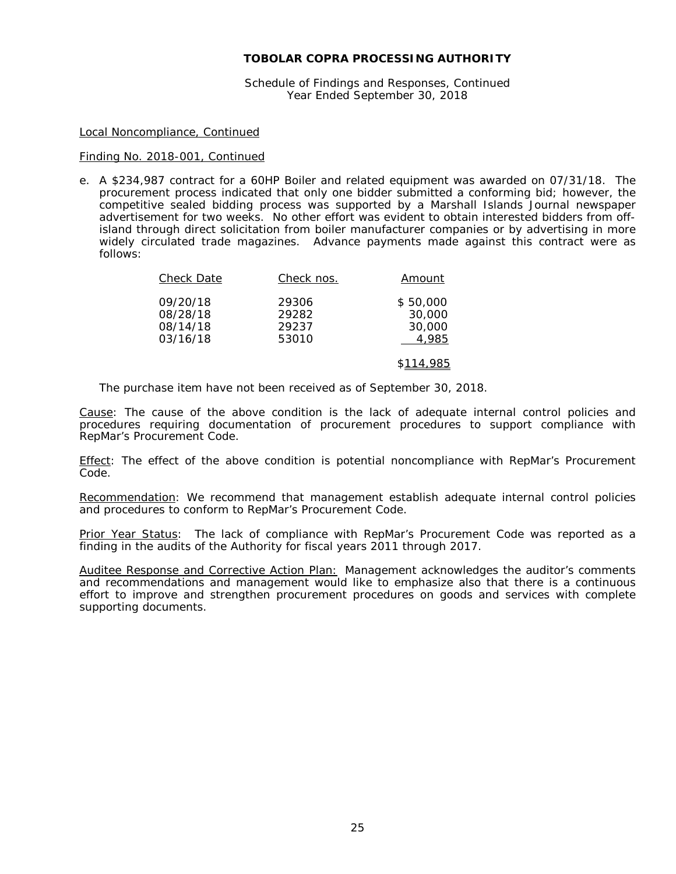Schedule of Findings and Responses, Continued Year Ended September 30, 2018

#### Local Noncompliance, Continued

#### Finding No. 2018-001, Continued

e. A \$234,987 contract for a 60HP Boiler and related equipment was awarded on 07/31/18. The procurement process indicated that only one bidder submitted a conforming bid; however, the competitive sealed bidding process was supported by a Marshall Islands Journal newspaper advertisement for two weeks. No other effort was evident to obtain interested bidders from offisland through direct solicitation from boiler manufacturer companies or by advertising in more widely circulated trade magazines. Advance payments made against this contract were as follows:

| <b>Check Date</b>                            | Check nos.                       | Amount                                |
|----------------------------------------------|----------------------------------|---------------------------------------|
| 09/20/18<br>08/28/18<br>08/14/18<br>03/16/18 | 29306<br>29282<br>29237<br>53010 | \$50,000<br>30,000<br>30,000<br>4,985 |
|                                              |                                  | \$114,985                             |

The purchase item have not been received as of September 30, 2018.

Cause: The cause of the above condition is the lack of adequate internal control policies and procedures requiring documentation of procurement procedures to support compliance with RepMar's Procurement Code.

Effect: The effect of the above condition is potential noncompliance with RepMar's Procurement Code.

Recommendation: We recommend that management establish adequate internal control policies and procedures to conform to RepMar's Procurement Code.

Prior Year Status: The lack of compliance with RepMar's Procurement Code was reported as a finding in the audits of the Authority for fiscal years 2011 through 2017.

Auditee Response and Corrective Action Plan: Management acknowledges the auditor's comments and recommendations and management would like to emphasize also that there is a continuous effort to improve and strengthen procurement procedures on goods and services with complete supporting documents.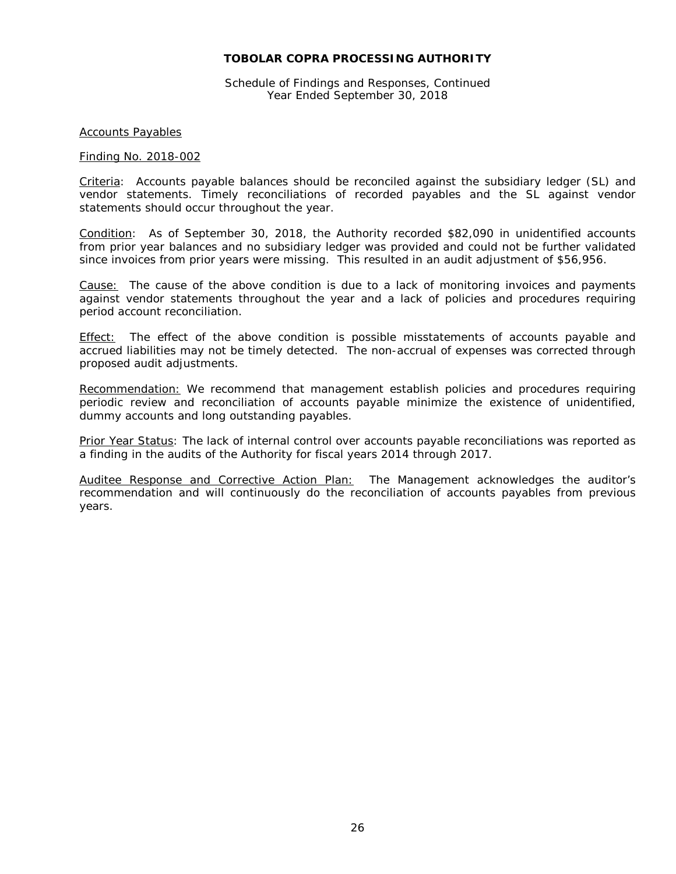Schedule of Findings and Responses, Continued Year Ended September 30, 2018

#### Accounts Payables

#### Finding No. 2018-002

Criteria: Accounts payable balances should be reconciled against the subsidiary ledger (SL) and vendor statements. Timely reconciliations of recorded payables and the SL against vendor statements should occur throughout the year.

Condition: As of September 30, 2018, the Authority recorded \$82,090 in unidentified accounts from prior year balances and no subsidiary ledger was provided and could not be further validated since invoices from prior years were missing. This resulted in an audit adjustment of \$56,956.

Cause: The cause of the above condition is due to a lack of monitoring invoices and payments against vendor statements throughout the year and a lack of policies and procedures requiring period account reconciliation.

Effect: The effect of the above condition is possible misstatements of accounts payable and accrued liabilities may not be timely detected. The non-accrual of expenses was corrected through proposed audit adjustments.

Recommendation: We recommend that management establish policies and procedures requiring periodic review and reconciliation of accounts payable minimize the existence of unidentified, dummy accounts and long outstanding payables.

Prior Year Status: The lack of internal control over accounts payable reconciliations was reported as a finding in the audits of the Authority for fiscal years 2014 through 2017.

Auditee Response and Corrective Action Plan: The Management acknowledges the auditor's recommendation and will continuously do the reconciliation of accounts payables from previous years.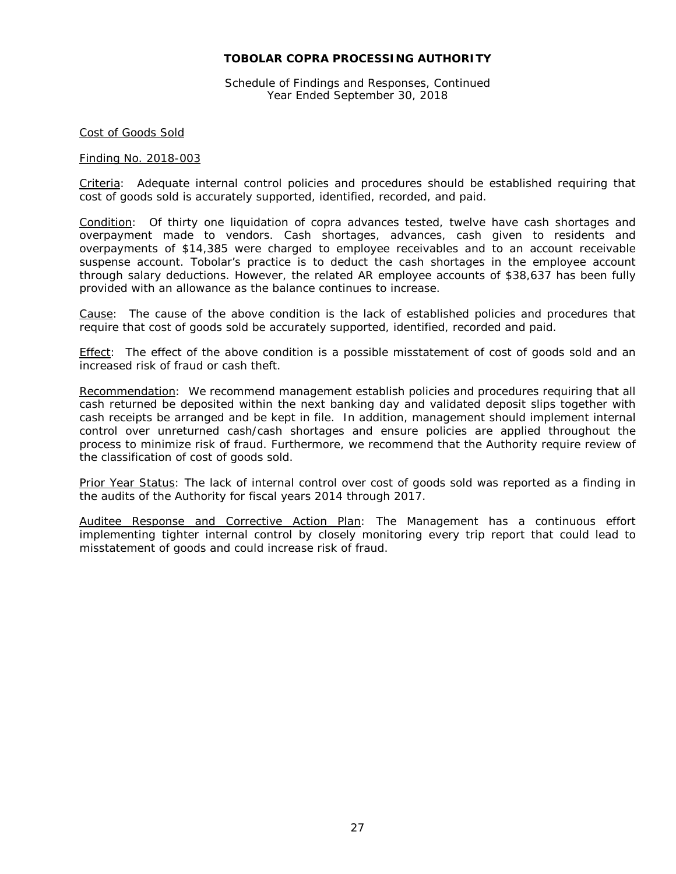Schedule of Findings and Responses, Continued Year Ended September 30, 2018

#### Cost of Goods Sold

#### Finding No. 2018-003

Criteria: Adequate internal control policies and procedures should be established requiring that cost of goods sold is accurately supported, identified, recorded, and paid.

Condition: Of thirty one liquidation of copra advances tested, twelve have cash shortages and overpayment made to vendors. Cash shortages, advances, cash given to residents and overpayments of \$14,385 were charged to employee receivables and to an account receivable suspense account. Tobolar's practice is to deduct the cash shortages in the employee account through salary deductions. However, the related AR employee accounts of \$38,637 has been fully provided with an allowance as the balance continues to increase.

Cause: The cause of the above condition is the lack of established policies and procedures that require that cost of goods sold be accurately supported, identified, recorded and paid.

Effect: The effect of the above condition is a possible misstatement of cost of goods sold and an increased risk of fraud or cash theft.

Recommendation: We recommend management establish policies and procedures requiring that all cash returned be deposited within the next banking day and validated deposit slips together with cash receipts be arranged and be kept in file. In addition, management should implement internal control over unreturned cash/cash shortages and ensure policies are applied throughout the process to minimize risk of fraud. Furthermore, we recommend that the Authority require review of the classification of cost of goods sold.

Prior Year Status: The lack of internal control over cost of goods sold was reported as a finding in the audits of the Authority for fiscal years 2014 through 2017.

Auditee Response and Corrective Action Plan: The Management has a continuous effort implementing tighter internal control by closely monitoring every trip report that could lead to misstatement of goods and could increase risk of fraud.